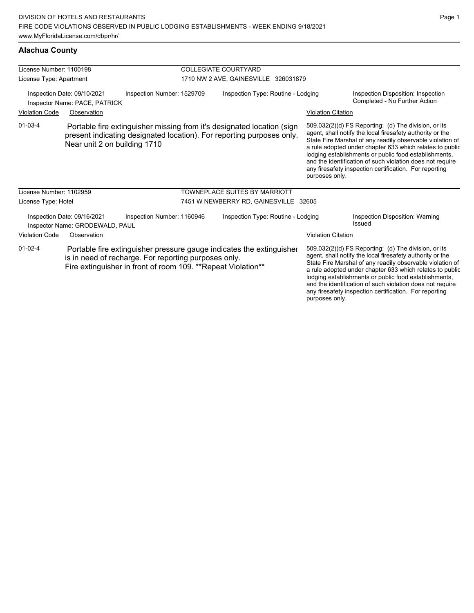#### **Alachua County**

| License Number: 1100198              |                                                                |                                                                                                                                                                                              | <b>COLLEGIATE COURTYARD</b>           |                           |                                                                                                                                                                                                                                                                                                                                                                                                                            |  |  |
|--------------------------------------|----------------------------------------------------------------|----------------------------------------------------------------------------------------------------------------------------------------------------------------------------------------------|---------------------------------------|---------------------------|----------------------------------------------------------------------------------------------------------------------------------------------------------------------------------------------------------------------------------------------------------------------------------------------------------------------------------------------------------------------------------------------------------------------------|--|--|
| License Type: Apartment              |                                                                |                                                                                                                                                                                              | 1710 NW 2 AVE, GAINESVILLE 326031879  |                           |                                                                                                                                                                                                                                                                                                                                                                                                                            |  |  |
|                                      | Inspection Date: 09/10/2021<br>Inspector Name: PACE, PATRICK   | Inspection Number: 1529709                                                                                                                                                                   | Inspection Type: Routine - Lodging    |                           | Inspection Disposition: Inspection<br>Completed - No Further Action                                                                                                                                                                                                                                                                                                                                                        |  |  |
| <b>Violation Code</b>                | Observation                                                    |                                                                                                                                                                                              |                                       | <b>Violation Citation</b> |                                                                                                                                                                                                                                                                                                                                                                                                                            |  |  |
| $01-03-4$                            | Near unit 2 on building 1710                                   | Portable fire extinguisher missing from it's designated location (sign<br>present indicating designated location). For reporting purposes only.                                              |                                       | purposes only.            | 509.032(2)(d) FS Reporting: (d) The division, or its<br>agent, shall notify the local firesafety authority or the<br>State Fire Marshal of any readily observable violation of<br>a rule adopted under chapter 633 which relates to public<br>lodging establishments or public food establishments,<br>and the identification of such violation does not require<br>any firesafety inspection certification. For reporting |  |  |
| License Number: 1102959              |                                                                |                                                                                                                                                                                              | <b>TOWNEPLACE SUITES BY MARRIOTT</b>  |                           |                                                                                                                                                                                                                                                                                                                                                                                                                            |  |  |
| License Type: Hotel                  |                                                                |                                                                                                                                                                                              | 7451 W NEWBERRY RD, GAINESVILLE 32605 |                           |                                                                                                                                                                                                                                                                                                                                                                                                                            |  |  |
|                                      | Inspection Date: 09/16/2021<br>Inspector Name: GRODEWALD, PAUL | Inspection Number: 1160946                                                                                                                                                                   | Inspection Type: Routine - Lodging    |                           | <b>Inspection Disposition: Warning</b><br>Issued                                                                                                                                                                                                                                                                                                                                                                           |  |  |
| <b>Violation Code</b><br>Observation |                                                                |                                                                                                                                                                                              | <b>Violation Citation</b>             |                           |                                                                                                                                                                                                                                                                                                                                                                                                                            |  |  |
| $01-02-4$                            |                                                                | Portable fire extinguisher pressure gauge indicates the extinguisher<br>is in need of recharge. For reporting purposes only.<br>Fire extinguisher in front of room 109. **Repeat Violation** |                                       |                           | 509.032(2)(d) FS Reporting: (d) The division, or its<br>agent, shall notify the local firesafety authority or the<br>State Fire Marshal of any readily observable violation of<br>a rule adopted under chapter 633 which relates to public<br>lodging establishments or public food establishments,<br>and the identification of such violation does not require                                                           |  |  |

any firesafety inspection certification. For reporting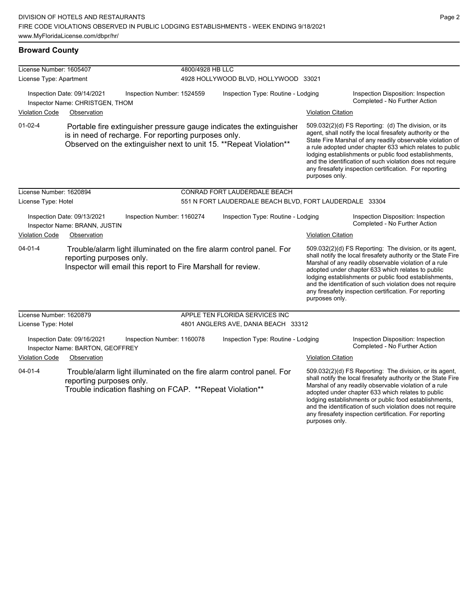#### **Broward County**

| License Number: 1605407 |                                                                 |                                                               | 4800/4928 HB LLC                     |                                                                                                                                             |                           |                                                                                                                                                                                                                                                                                                                                                                                                                            |
|-------------------------|-----------------------------------------------------------------|---------------------------------------------------------------|--------------------------------------|---------------------------------------------------------------------------------------------------------------------------------------------|---------------------------|----------------------------------------------------------------------------------------------------------------------------------------------------------------------------------------------------------------------------------------------------------------------------------------------------------------------------------------------------------------------------------------------------------------------------|
| License Type: Apartment |                                                                 |                                                               | 4928 HOLLYWOOD BLVD, HOLLYWOOD 33021 |                                                                                                                                             |                           |                                                                                                                                                                                                                                                                                                                                                                                                                            |
|                         | Inspection Date: 09/14/2021<br>Inspector Name: CHRISTGEN, THOM  | Inspection Number: 1524559                                    |                                      | Inspection Type: Routine - Lodging                                                                                                          |                           | Inspection Disposition: Inspection<br>Completed - No Further Action                                                                                                                                                                                                                                                                                                                                                        |
| <b>Violation Code</b>   | Observation                                                     |                                                               |                                      |                                                                                                                                             | <b>Violation Citation</b> |                                                                                                                                                                                                                                                                                                                                                                                                                            |
| $01 - 02 - 4$           |                                                                 | is in need of recharge. For reporting purposes only.          |                                      | Portable fire extinguisher pressure gauge indicates the extinguisher<br>Observed on the extinguisher next to unit 15. ** Repeat Violation** | purposes only.            | 509.032(2)(d) FS Reporting: (d) The division, or its<br>agent, shall notify the local firesafety authority or the<br>State Fire Marshal of any readily observable violation of<br>a rule adopted under chapter 633 which relates to public<br>lodging establishments or public food establishments,<br>and the identification of such violation does not require<br>any firesafety inspection certification. For reporting |
| License Number: 1620894 |                                                                 |                                                               |                                      | CONRAD FORT LAUDERDALE BEACH                                                                                                                |                           |                                                                                                                                                                                                                                                                                                                                                                                                                            |
| License Type: Hotel     |                                                                 |                                                               |                                      | 551 N FORT LAUDERDALE BEACH BLVD, FORT LAUDERDALE 33304                                                                                     |                           |                                                                                                                                                                                                                                                                                                                                                                                                                            |
|                         | Inspection Date: 09/13/2021<br>Inspector Name: BRANN, JUSTIN    | Inspection Number: 1160274                                    |                                      | Inspection Type: Routine - Lodging                                                                                                          |                           | Inspection Disposition: Inspection<br>Completed - No Further Action                                                                                                                                                                                                                                                                                                                                                        |
| <b>Violation Code</b>   | Observation                                                     |                                                               |                                      |                                                                                                                                             | <b>Violation Citation</b> |                                                                                                                                                                                                                                                                                                                                                                                                                            |
| $04 - 01 - 4$           | reporting purposes only.                                        | Inspector will email this report to Fire Marshall for review. |                                      | Trouble/alarm light illuminated on the fire alarm control panel. For                                                                        | purposes only.            | 509.032(2)(d) FS Reporting: The division, or its agent,<br>shall notify the local firesafety authority or the State Fire<br>Marshal of any readily observable violation of a rule<br>adopted under chapter 633 which relates to public<br>lodging establishments or public food establishments,<br>and the identification of such violation does not require<br>any firesafety inspection certification. For reporting     |
| License Number: 1620879 |                                                                 |                                                               |                                      | APPLE TEN FLORIDA SERVICES INC                                                                                                              |                           |                                                                                                                                                                                                                                                                                                                                                                                                                            |
| License Type: Hotel     |                                                                 |                                                               |                                      | 4801 ANGLERS AVE, DANIA BEACH 33312                                                                                                         |                           |                                                                                                                                                                                                                                                                                                                                                                                                                            |
|                         | Inspection Date: 09/16/2021<br>Inspector Name: BARTON, GEOFFREY | Inspection Number: 1160078                                    |                                      | Inspection Type: Routine - Lodging                                                                                                          |                           | Inspection Disposition: Inspection<br>Completed - No Further Action                                                                                                                                                                                                                                                                                                                                                        |
| <b>Violation Code</b>   | Observation                                                     |                                                               |                                      |                                                                                                                                             | <b>Violation Citation</b> |                                                                                                                                                                                                                                                                                                                                                                                                                            |
| $04 - 01 - 4$           | reporting purposes only.                                        | Trouble indication flashing on FCAP. ** Repeat Violation**    |                                      | Trouble/alarm light illuminated on the fire alarm control panel. For                                                                        |                           | 509.032(2)(d) FS Reporting: The division, or its agent,<br>shall notify the local firesafety authority or the State Fire<br>Marshal of any readily observable violation of a rule<br>adopted under chapter 633 which relates to public<br>lodging establishments or public food establishments,<br>and the identification of such violation does not require                                                               |

any firesafety inspection certification. For reporting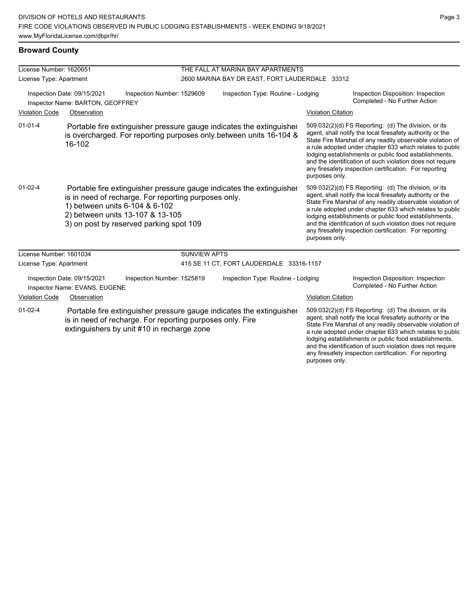#### **Broward County**

| License Number: 1620651                                         |                                                              |                                                                                                                                                                                                                                               | THE FALL AT MARINA BAY APARTMENTS              |                           |                                                                                                                                                                                                                                                                                                                                                                                                                            |  |  |  |
|-----------------------------------------------------------------|--------------------------------------------------------------|-----------------------------------------------------------------------------------------------------------------------------------------------------------------------------------------------------------------------------------------------|------------------------------------------------|---------------------------|----------------------------------------------------------------------------------------------------------------------------------------------------------------------------------------------------------------------------------------------------------------------------------------------------------------------------------------------------------------------------------------------------------------------------|--|--|--|
| License Type: Apartment                                         |                                                              |                                                                                                                                                                                                                                               | 2600 MARINA BAY DR EAST, FORT LAUDERDALE 33312 |                           |                                                                                                                                                                                                                                                                                                                                                                                                                            |  |  |  |
| Inspection Date: 09/15/2021<br>Inspector Name: BARTON, GEOFFREY |                                                              | Inspection Number: 1529609                                                                                                                                                                                                                    | Inspection Type: Routine - Lodging             |                           | Inspection Disposition: Inspection<br>Completed - No Further Action                                                                                                                                                                                                                                                                                                                                                        |  |  |  |
| <b>Violation Code</b>                                           | Observation                                                  |                                                                                                                                                                                                                                               |                                                | <b>Violation Citation</b> |                                                                                                                                                                                                                                                                                                                                                                                                                            |  |  |  |
| $01 - 01 - 4$                                                   | 16-102                                                       | Portable fire extinguisher pressure gauge indicates the extinguisher<br>is overcharged. For reporting purposes only between units 16-104 &                                                                                                    |                                                | purposes only.            | 509.032(2)(d) FS Reporting: (d) The division, or its<br>agent, shall notify the local firesafety authority or the<br>State Fire Marshal of any readily observable violation of<br>a rule adopted under chapter 633 which relates to public<br>lodging establishments or public food establishments,<br>and the identification of such violation does not require<br>any firesafety inspection certification. For reporting |  |  |  |
| $01 - 02 - 4$                                                   |                                                              | Portable fire extinguisher pressure gauge indicates the extinguisher<br>is in need of recharge. For reporting purposes only.<br>1) between units 6-104 & 6-102<br>2) between units 13-107 & 13-105<br>3) on post by reserved parking spot 109 |                                                | purposes only.            | 509.032(2)(d) FS Reporting: (d) The division, or its<br>agent, shall notify the local firesafety authority or the<br>State Fire Marshal of any readily observable violation of<br>a rule adopted under chapter 633 which relates to public<br>lodging establishments or public food establishments,<br>and the identification of such violation does not require<br>any firesafety inspection certification. For reporting |  |  |  |
| License Number: 1601034                                         |                                                              | <b>SUNVIEW APTS</b>                                                                                                                                                                                                                           |                                                |                           |                                                                                                                                                                                                                                                                                                                                                                                                                            |  |  |  |
| License Type: Apartment                                         |                                                              |                                                                                                                                                                                                                                               | 415 SE 11 CT, FORT LAUDERDALE 33316-1157       |                           |                                                                                                                                                                                                                                                                                                                                                                                                                            |  |  |  |
|                                                                 | Inspection Date: 09/15/2021<br>Inspector Name: EVANS, EUGENE | Inspection Number: 1525819                                                                                                                                                                                                                    | Inspection Type: Routine - Lodging             |                           | Inspection Disposition: Inspection<br>Completed - No Further Action                                                                                                                                                                                                                                                                                                                                                        |  |  |  |
| <b>Violation Code</b>                                           | Observation                                                  |                                                                                                                                                                                                                                               |                                                | <b>Violation Citation</b> |                                                                                                                                                                                                                                                                                                                                                                                                                            |  |  |  |
| $01 - 02 - 4$                                                   |                                                              | Portable fire extinguisher pressure gauge indicates the extinguisher<br>is in need of recharge. For reporting purposes only. Fire<br>extinguishers by unit #10 in recharge zone                                                               |                                                |                           | 509.032(2)(d) FS Reporting: (d) The division, or its<br>agent, shall notify the local firesafety authority or the<br>State Fire Marshal of any readily observable violation of<br>a rule adopted under chapter 633 which relates to public<br>lodging establishments or public food establishments,<br>and the identification of such violation does not require<br>any firesafety inspection certification. For reporting |  |  |  |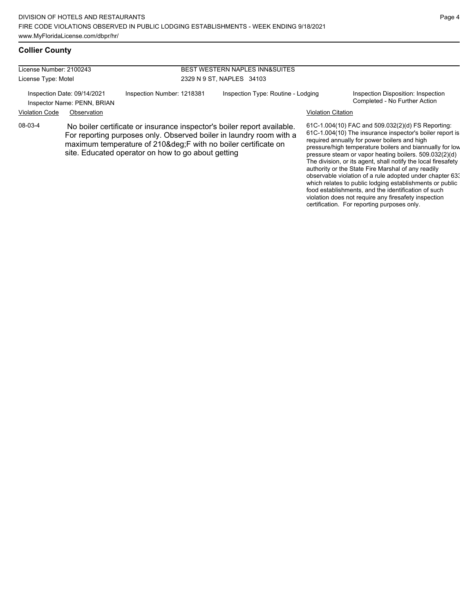which relates to public lodging establishments or public food establishments, and the identification of such violation does not require any firesafety inspection certification. For reporting purposes only.

#### **Collier County**

| License Number: 2100243<br>License Type: Motel |                                                            |                                                                                                                                                                                                                                                                    | <b>BEST WESTERN NAPLES INN&amp;SUITES</b><br>2329 N 9 ST, NAPLES 34103 |                           |                                                                                                                                                                                                                                                                                                                                                                                                                                                                        |  |
|------------------------------------------------|------------------------------------------------------------|--------------------------------------------------------------------------------------------------------------------------------------------------------------------------------------------------------------------------------------------------------------------|------------------------------------------------------------------------|---------------------------|------------------------------------------------------------------------------------------------------------------------------------------------------------------------------------------------------------------------------------------------------------------------------------------------------------------------------------------------------------------------------------------------------------------------------------------------------------------------|--|
|                                                | Inspection Date: 09/14/2021<br>Inspector Name: PENN, BRIAN | Inspection Number: 1218381                                                                                                                                                                                                                                         | Inspection Type: Routine - Lodging                                     |                           | Inspection Disposition: Inspection<br>Completed - No Further Action                                                                                                                                                                                                                                                                                                                                                                                                    |  |
| <b>Violation Code</b>                          | Observation                                                |                                                                                                                                                                                                                                                                    |                                                                        | <b>Violation Citation</b> |                                                                                                                                                                                                                                                                                                                                                                                                                                                                        |  |
| 08-03-4                                        |                                                            | No boiler certificate or insurance inspector's boiler report available.<br>For reporting purposes only. Observed boiler in laundry room with a<br>maximum temperature of 210°F with no boiler certificate on<br>site. Educated operator on how to go about getting |                                                                        |                           | 61C-1.004(10) FAC and 509.032(2)(d) FS Reporting:<br>61C-1.004(10) The insurance inspector's boiler report is<br>required annually for power boilers and high<br>pressure/high temperature boilers and biannually for low<br>pressure steam or vapor heating boilers. 509.032(2)(d)<br>The division, or its agent, shall notify the local firesafety<br>authority or the State Fire Marshal of any readily<br>observable violation of a rule adopted under chapter 63. |  |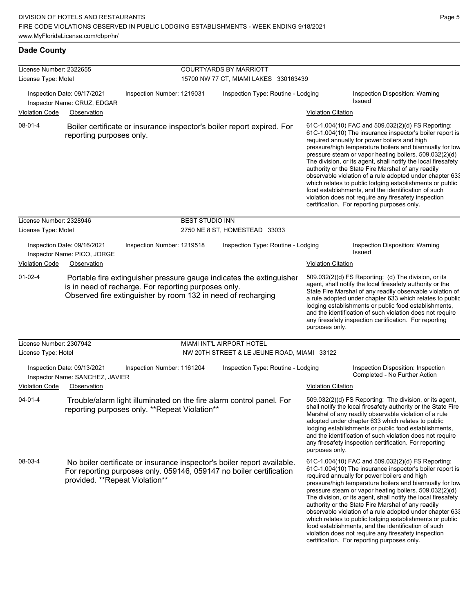| License Number: 2322655 |                                                                               |                                                                                                                                                                                              | <b>COURTYARDS BY MARRIOTT</b>               |                           |                                                                                                                                                                                                                                                                                                                                                                                                                                                                                                                                                                                                                                                                                                  |
|-------------------------|-------------------------------------------------------------------------------|----------------------------------------------------------------------------------------------------------------------------------------------------------------------------------------------|---------------------------------------------|---------------------------|--------------------------------------------------------------------------------------------------------------------------------------------------------------------------------------------------------------------------------------------------------------------------------------------------------------------------------------------------------------------------------------------------------------------------------------------------------------------------------------------------------------------------------------------------------------------------------------------------------------------------------------------------------------------------------------------------|
| License Type: Motel     |                                                                               |                                                                                                                                                                                              | 15700 NW 77 CT, MIAMI LAKES 330163439       |                           |                                                                                                                                                                                                                                                                                                                                                                                                                                                                                                                                                                                                                                                                                                  |
|                         | Inspection Date: 09/17/2021<br>Inspector Name: CRUZ, EDGAR                    | Inspection Number: 1219031                                                                                                                                                                   | Inspection Type: Routine - Lodging          |                           | Inspection Disposition: Warning<br><b>Issued</b>                                                                                                                                                                                                                                                                                                                                                                                                                                                                                                                                                                                                                                                 |
| <b>Violation Code</b>   | Observation                                                                   |                                                                                                                                                                                              |                                             | <b>Violation Citation</b> |                                                                                                                                                                                                                                                                                                                                                                                                                                                                                                                                                                                                                                                                                                  |
| 08-01-4                 | reporting purposes only.                                                      | Boiler certificate or insurance inspector's boiler report expired. For                                                                                                                       |                                             |                           | 61C-1.004(10) FAC and 509.032(2)(d) FS Reporting:<br>61C-1.004(10) The insurance inspector's boiler report is<br>required annually for power boilers and high<br>pressure/high temperature boilers and biannually for low<br>pressure steam or vapor heating boilers. 509.032(2)(d)<br>The division, or its agent, shall notify the local firesafety<br>authority or the State Fire Marshal of any readily<br>observable violation of a rule adopted under chapter 633<br>which relates to public lodging establishments or public<br>food establishments, and the identification of such<br>violation does not require any firesafety inspection<br>certification. For reporting purposes only. |
| License Number: 2328946 |                                                                               | <b>BEST STUDIO INN</b>                                                                                                                                                                       |                                             |                           |                                                                                                                                                                                                                                                                                                                                                                                                                                                                                                                                                                                                                                                                                                  |
| License Type: Motel     |                                                                               |                                                                                                                                                                                              | 2750 NE 8 ST, HOMESTEAD 33033               |                           |                                                                                                                                                                                                                                                                                                                                                                                                                                                                                                                                                                                                                                                                                                  |
| <b>Violation Code</b>   | Inspection Date: 09/16/2021<br>Inspector Name: PICO, JORGE<br>Observation     | Inspection Number: 1219518                                                                                                                                                                   | Inspection Type: Routine - Lodging          | <b>Violation Citation</b> | Inspection Disposition: Warning<br><b>Issued</b>                                                                                                                                                                                                                                                                                                                                                                                                                                                                                                                                                                                                                                                 |
| $01 - 02 - 4$           |                                                                               | Portable fire extinguisher pressure gauge indicates the extinguisher<br>is in need of recharge. For reporting purposes only.<br>Observed fire extinguisher by room 132 in need of recharging |                                             | purposes only.            | 509.032(2)(d) FS Reporting (d) The division, or its<br>agent, shall notify the local firesafety authority or the<br>State Fire Marshal of any readily observable violation of<br>a rule adopted under chapter 633 which relates to public<br>lodging establishments or public food establishments,<br>and the identification of such violation does not require<br>any firesafety inspection certification. For reporting                                                                                                                                                                                                                                                                        |
| License Number: 2307942 |                                                                               |                                                                                                                                                                                              | MIAMI INT'L AIRPORT HOTEL                   |                           |                                                                                                                                                                                                                                                                                                                                                                                                                                                                                                                                                                                                                                                                                                  |
| License Type: Hotel     |                                                                               |                                                                                                                                                                                              | NW 20TH STREET & LE JEUNE ROAD, MIAMI 33122 |                           |                                                                                                                                                                                                                                                                                                                                                                                                                                                                                                                                                                                                                                                                                                  |
| <b>Violation Code</b>   | Inspection Date: 09/13/2021<br>Inspector Name: SANCHEZ, JAVIER<br>Observation | Inspection Number: 1161204                                                                                                                                                                   | Inspection Type: Routine - Lodging          | <b>Violation Citation</b> | Inspection Disposition: Inspection<br>Completed - No Further Action                                                                                                                                                                                                                                                                                                                                                                                                                                                                                                                                                                                                                              |
| $04 - 01 - 4$           |                                                                               | Trouble/alarm light illuminated on the fire alarm control panel. For<br>reporting purposes only. **Repeat Violation**                                                                        |                                             | purposes only.            | 509.032(2)(d) FS Reporting: The division, or its agent,<br>shall notify the local firesafety authority or the State Fire<br>Marshal of any readily observable violation of a rule<br>adopted under chapter 633 which relates to public<br>lodging establishments or public food establishments,<br>and the identification of such violation does not require<br>any firesafety inspection certification. For reporting                                                                                                                                                                                                                                                                           |
| 08-03-4                 | provided. **Repeat Violation**                                                | No boiler certificate or insurance inspector's boiler report available.<br>For reporting purposes only. 059146, 059147 no boiler certification                                               |                                             |                           | 61C-1.004(10) FAC and 509.032(2)(d) FS Reporting:<br>61C-1.004(10) The insurance inspector's boiler report is<br>required annually for power boilers and high<br>pressure/high temperature boilers and biannually for low<br>pressure steam or vapor heating boilers. 509.032(2)(d)<br>The division, or its agent, shall notify the local firesafety<br>authority or the State Fire Marshal of any readily<br>observable violation of a rule adopted under chapter 63.<br>which relates to public lodging establishments or public<br>food establishments, and the identification of such<br>violation does not require any firesafety inspection<br>certification. For reporting purposes only. |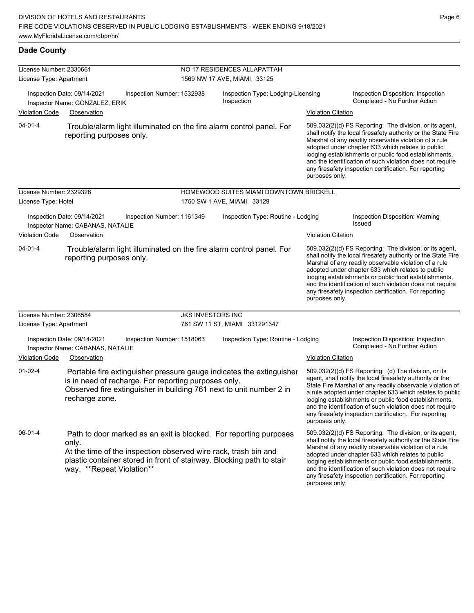| License Number: 2330661 |                                                                                                                                                                                                                                                     |                          | NO 17 RESIDENCES ALLAPATTAH                      |                           |                                                                                                                                                                                                                                                                                                                                                                                                                            |
|-------------------------|-----------------------------------------------------------------------------------------------------------------------------------------------------------------------------------------------------------------------------------------------------|--------------------------|--------------------------------------------------|---------------------------|----------------------------------------------------------------------------------------------------------------------------------------------------------------------------------------------------------------------------------------------------------------------------------------------------------------------------------------------------------------------------------------------------------------------------|
| License Type: Apartment |                                                                                                                                                                                                                                                     |                          | 1569 NW 17 AVE, MIAMI 33125                      |                           |                                                                                                                                                                                                                                                                                                                                                                                                                            |
|                         | Inspection Date: 09/14/2021<br>Inspection Number: 1532938<br>Inspector Name: GONZALEZ, ERIK                                                                                                                                                         |                          | Inspection Type: Lodging-Licensing<br>Inspection |                           | Inspection Disposition: Inspection<br>Completed - No Further Action                                                                                                                                                                                                                                                                                                                                                        |
| <b>Violation Code</b>   | Observation                                                                                                                                                                                                                                         |                          |                                                  | <b>Violation Citation</b> |                                                                                                                                                                                                                                                                                                                                                                                                                            |
| $04 - 01 - 4$           | Trouble/alarm light illuminated on the fire alarm control panel. For<br>reporting purposes only.                                                                                                                                                    |                          |                                                  | purposes only.            | 509.032(2)(d) FS Reporting: The division, or its agent,<br>shall notify the local firesafety authority or the State Fire<br>Marshal of any readily observable violation of a rule<br>adopted under chapter 633 which relates to public<br>lodging establishments or public food establishments,<br>and the identification of such violation does not require<br>any firesafety inspection certification. For reporting     |
| License Number: 2329328 |                                                                                                                                                                                                                                                     |                          | HOMEWOOD SUITES MIAMI DOWNTOWN BRICKELL          |                           |                                                                                                                                                                                                                                                                                                                                                                                                                            |
| License Type: Hotel     |                                                                                                                                                                                                                                                     |                          | 1750 SW 1 AVE, MIAMI 33129                       |                           |                                                                                                                                                                                                                                                                                                                                                                                                                            |
|                         | Inspection Date: 09/14/2021<br>Inspection Number: 1161349<br>Inspector Name: CABANAS, NATALIE                                                                                                                                                       |                          | Inspection Type: Routine - Lodging               |                           | Inspection Disposition: Warning<br><b>Issued</b>                                                                                                                                                                                                                                                                                                                                                                           |
| Violation Code          | Observation                                                                                                                                                                                                                                         |                          |                                                  | <b>Violation Citation</b> |                                                                                                                                                                                                                                                                                                                                                                                                                            |
| $04 - 01 - 4$           | Trouble/alarm light illuminated on the fire alarm control panel. For<br>reporting purposes only.                                                                                                                                                    |                          |                                                  | purposes only.            | 509.032(2)(d) FS Reporting: The division, or its agent,<br>shall notify the local firesafety authority or the State Fire<br>Marshal of any readily observable violation of a rule<br>adopted under chapter 633 which relates to public<br>lodging establishments or public food establishments,<br>and the identification of such violation does not require<br>any firesafety inspection certification. For reporting     |
| License Number: 2306584 |                                                                                                                                                                                                                                                     | <b>JKS INVESTORS INC</b> |                                                  |                           |                                                                                                                                                                                                                                                                                                                                                                                                                            |
| License Type: Apartment |                                                                                                                                                                                                                                                     |                          | 761 SW 11 ST, MIAMI 331291347                    |                           |                                                                                                                                                                                                                                                                                                                                                                                                                            |
|                         | Inspection Date: 09/14/2021<br>Inspection Number: 1518063<br>Inspector Name: CABANAS, NATALIE                                                                                                                                                       |                          | Inspection Type: Routine - Lodging               |                           | Inspection Disposition: Inspection<br>Completed - No Further Action                                                                                                                                                                                                                                                                                                                                                        |
| <b>Violation Code</b>   | Observation                                                                                                                                                                                                                                         |                          |                                                  | <b>Violation Citation</b> |                                                                                                                                                                                                                                                                                                                                                                                                                            |
| $01 - 02 - 4$           | Portable fire extinguisher pressure gauge indicates the extinguisher<br>is in need of recharge. For reporting purposes only.<br>Observed fire extinguisher in building 761 next to unit number 2 in<br>recharge zone.                               |                          |                                                  | purposes only.            | 509.032(2)(d) FS Reporting: (d) The division, or its<br>agent, shall notify the local firesafety authority or the<br>State Fire Marshal of any readily observable violation of<br>a rule adopted under chapter 633 which relates to public<br>lodging establishments or public food establishments,<br>and the identification of such violation does not require<br>any firesafety inspection certification. For reporting |
| 06-01-4                 | Path to door marked as an exit is blocked. For reporting purposes<br>only.<br>At the time of the inspection observed wire rack, trash bin and<br>plastic container stored in front of stairway. Blocking path to stair<br>way. **Repeat Violation** |                          |                                                  |                           | 509.032(2)(d) FS Reporting: The division, or its agent,<br>shall notify the local firesafety authority or the State Fire<br>Marshal of any readily observable violation of a rule<br>adopted under chapter 633 which relates to public<br>lodging establishments or public food establishments,<br>and the identification of such violation does not require<br>any firesafety inspection certification. For reporting     |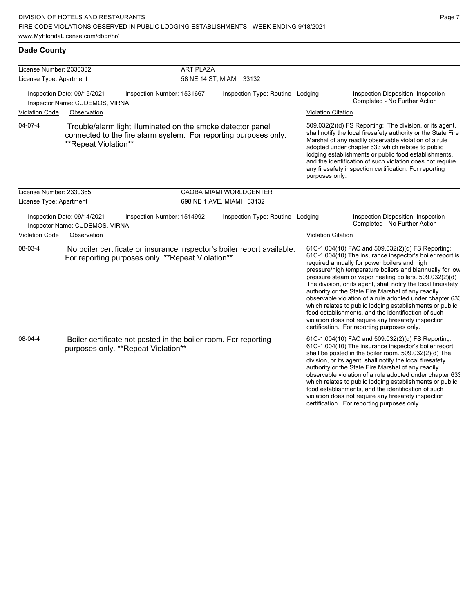| License Number: 2330332 |                                                               |                                                                                                        | <b>ART PLAZA</b>         |                                                                         |                           |                                                                                                                                                                                                                                                                                                                                                                                                                                                                                                                                                                                                                                                                                                  |
|-------------------------|---------------------------------------------------------------|--------------------------------------------------------------------------------------------------------|--------------------------|-------------------------------------------------------------------------|---------------------------|--------------------------------------------------------------------------------------------------------------------------------------------------------------------------------------------------------------------------------------------------------------------------------------------------------------------------------------------------------------------------------------------------------------------------------------------------------------------------------------------------------------------------------------------------------------------------------------------------------------------------------------------------------------------------------------------------|
| License Type: Apartment |                                                               |                                                                                                        | 58 NE 14 ST, MIAMI 33132 |                                                                         |                           |                                                                                                                                                                                                                                                                                                                                                                                                                                                                                                                                                                                                                                                                                                  |
|                         | Inspection Date: 09/15/2021<br>Inspector Name: CUDEMOS, VIRNA | Inspection Number: 1531667                                                                             |                          | Inspection Type: Routine - Lodging                                      |                           | Inspection Disposition: Inspection<br>Completed - No Further Action                                                                                                                                                                                                                                                                                                                                                                                                                                                                                                                                                                                                                              |
| <b>Violation Code</b>   | Observation                                                   |                                                                                                        |                          |                                                                         | <b>Violation Citation</b> |                                                                                                                                                                                                                                                                                                                                                                                                                                                                                                                                                                                                                                                                                                  |
| 04-07-4                 | **Repeat Violation**                                          | Trouble/alarm light illuminated on the smoke detector panel                                            |                          | connected to the fire alarm system. For reporting purposes only.        | purposes only.            | 509.032(2)(d) FS Reporting: The division, or its agent,<br>shall notify the local firesafety authority or the State Fire<br>Marshal of any readily observable violation of a rule<br>adopted under chapter 633 which relates to public<br>lodging establishments or public food establishments,<br>and the identification of such violation does not require<br>any firesafety inspection certification. For reporting                                                                                                                                                                                                                                                                           |
| License Number: 2330365 |                                                               |                                                                                                        |                          | CAOBA MIAMI WORLDCENTER                                                 |                           |                                                                                                                                                                                                                                                                                                                                                                                                                                                                                                                                                                                                                                                                                                  |
| License Type: Apartment |                                                               |                                                                                                        |                          | 698 NE 1 AVE, MIAMI 33132                                               |                           |                                                                                                                                                                                                                                                                                                                                                                                                                                                                                                                                                                                                                                                                                                  |
|                         | Inspection Date: 09/14/2021<br>Inspector Name: CUDEMOS, VIRNA | Inspection Number: 1514992                                                                             |                          | Inspection Type: Routine - Lodging                                      |                           | Inspection Disposition: Inspection<br>Completed - No Further Action                                                                                                                                                                                                                                                                                                                                                                                                                                                                                                                                                                                                                              |
| <b>Violation Code</b>   | Observation                                                   |                                                                                                        |                          |                                                                         | <b>Violation Citation</b> |                                                                                                                                                                                                                                                                                                                                                                                                                                                                                                                                                                                                                                                                                                  |
| 08-03-4                 |                                                               | For reporting purposes only. **Repeat Violation**                                                      |                          | No boiler certificate or insurance inspector's boiler report available. |                           | 61C-1.004(10) FAC and 509.032(2)(d) FS Reporting:<br>61C-1.004(10) The insurance inspector's boiler report is<br>required annually for power boilers and high<br>pressure/high temperature boilers and biannually for low<br>pressure steam or vapor heating boilers. 509.032(2)(d)<br>The division, or its agent, shall notify the local firesafety<br>authority or the State Fire Marshal of any readily<br>observable violation of a rule adopted under chapter 63.<br>which relates to public lodging establishments or public<br>food establishments, and the identification of such<br>violation does not require any firesafety inspection<br>certification. For reporting purposes only. |
| 08-04-4                 |                                                               | Boiler certificate not posted in the boiler room. For reporting<br>purposes only. **Repeat Violation** |                          |                                                                         |                           | 61C-1.004(10) FAC and 509.032(2)(d) FS Reporting:<br>61C-1.004(10) The insurance inspector's boiler report<br>shall be posted in the boiler room. 509.032(2)(d) The<br>division, or its agent, shall notify the local firesafety<br>authority or the State Fire Marshal of any readily<br>observable violation of a rule adopted under chapter 63.<br>which relates to public lodging establishments or public<br>food establishments, and the identification of such                                                                                                                                                                                                                            |

violation does not require any firesafety inspection certification. For reporting purposes only.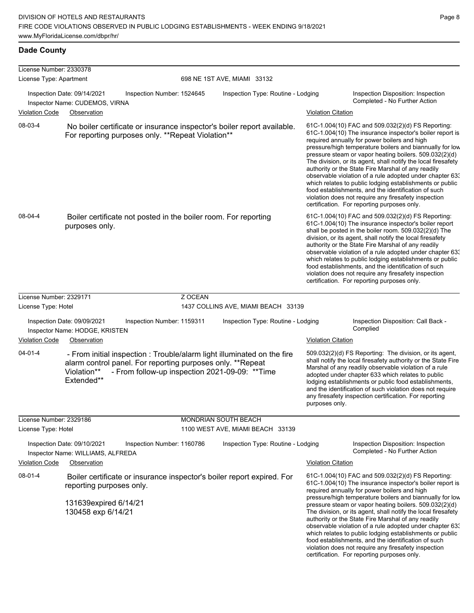| License Number: 2330378 |                                                                                                                                                                                                                       |         |                                     |                           |                                                                                                                                                                                                                                                                                                                                                                                                                                                                                                                                                                                                                                                                                                  |
|-------------------------|-----------------------------------------------------------------------------------------------------------------------------------------------------------------------------------------------------------------------|---------|-------------------------------------|---------------------------|--------------------------------------------------------------------------------------------------------------------------------------------------------------------------------------------------------------------------------------------------------------------------------------------------------------------------------------------------------------------------------------------------------------------------------------------------------------------------------------------------------------------------------------------------------------------------------------------------------------------------------------------------------------------------------------------------|
| License Type: Apartment |                                                                                                                                                                                                                       |         | 698 NE 1ST AVE, MIAMI 33132         |                           |                                                                                                                                                                                                                                                                                                                                                                                                                                                                                                                                                                                                                                                                                                  |
| <b>Violation Code</b>   | Inspection Date: 09/14/2021<br>Inspection Number: 1524645<br>Inspector Name: CUDEMOS, VIRNA<br>Observation                                                                                                            |         | Inspection Type: Routine - Lodging  | <b>Violation Citation</b> | Inspection Disposition: Inspection<br>Completed - No Further Action                                                                                                                                                                                                                                                                                                                                                                                                                                                                                                                                                                                                                              |
| 08-03-4                 | No boiler certificate or insurance inspector's boiler report available.<br>For reporting purposes only. **Repeat Violation**                                                                                          |         |                                     |                           | 61C-1.004(10) FAC and 509.032(2)(d) FS Reporting:<br>61C-1.004(10) The insurance inspector's boiler report is<br>required annually for power boilers and high<br>pressure/high temperature boilers and biannually for low<br>pressure steam or vapor heating boilers. 509.032(2)(d)<br>The division, or its agent, shall notify the local firesafety<br>authority or the State Fire Marshal of any readily<br>observable violation of a rule adopted under chapter 63.<br>which relates to public lodging establishments or public<br>food establishments, and the identification of such<br>violation does not require any firesafety inspection<br>certification. For reporting purposes only. |
| 08-04-4                 | Boiler certificate not posted in the boiler room. For reporting<br>purposes only.                                                                                                                                     |         |                                     |                           | 61C-1.004(10) FAC and 509.032(2)(d) FS Reporting:<br>61C-1.004(10) The insurance inspector's boiler report<br>shall be posted in the boiler room. 509.032(2)(d) The<br>division, or its agent, shall notify the local firesafety<br>authority or the State Fire Marshal of any readily<br>observable violation of a rule adopted under chapter 63.<br>which relates to public lodging establishments or public<br>food establishments, and the identification of such<br>violation does not require any firesafety inspection<br>certification. For reporting purposes only.                                                                                                                     |
| License Number: 2329171 |                                                                                                                                                                                                                       | Z OCEAN |                                     |                           |                                                                                                                                                                                                                                                                                                                                                                                                                                                                                                                                                                                                                                                                                                  |
| License Type: Hotel     |                                                                                                                                                                                                                       |         | 1437 COLLINS AVE, MIAMI BEACH 33139 |                           |                                                                                                                                                                                                                                                                                                                                                                                                                                                                                                                                                                                                                                                                                                  |
|                         | Inspection Date: 09/09/2021<br>Inspection Number: 1159311<br>Inspector Name: HODGE, KRISTEN                                                                                                                           |         | Inspection Type: Routine - Lodging  |                           | Inspection Disposition: Call Back -<br>Complied                                                                                                                                                                                                                                                                                                                                                                                                                                                                                                                                                                                                                                                  |
| <b>Violation Code</b>   | Observation                                                                                                                                                                                                           |         |                                     | <b>Violation Citation</b> |                                                                                                                                                                                                                                                                                                                                                                                                                                                                                                                                                                                                                                                                                                  |
| $04 - 01 - 4$           | - From initial inspection : Trouble/alarm light illuminated on the fire<br>alarm control panel. For reporting purposes only. **Repeat<br>- From follow-up inspection 2021-09-09: ** Time<br>Violation**<br>Extended** |         |                                     | purposes only.            | 509.032(2)(d) FS Reporting: The division, or its agent,<br>shall notify the local firesafety authority or the State Fire<br>Marshal of any readily observable violation of a rule<br>adopted under chapter 633 which relates to public<br>lodging establishments or public food establishments,<br>and the identification of such violation does not require<br>any firesafety inspection certification. For reporting                                                                                                                                                                                                                                                                           |
| License Number: 2329186 |                                                                                                                                                                                                                       |         | MONDRIAN SOUTH BEACH                |                           |                                                                                                                                                                                                                                                                                                                                                                                                                                                                                                                                                                                                                                                                                                  |
| License Type: Hotel     |                                                                                                                                                                                                                       |         | 1100 WEST AVE, MIAMI BEACH 33139    |                           |                                                                                                                                                                                                                                                                                                                                                                                                                                                                                                                                                                                                                                                                                                  |
|                         | Inspection Date: 09/10/2021<br>Inspection Number: 1160786<br>Inspector Name: WILLIAMS, ALFREDA                                                                                                                        |         | Inspection Type: Routine - Lodging  |                           | Inspection Disposition: Inspection<br>Completed - No Further Action                                                                                                                                                                                                                                                                                                                                                                                                                                                                                                                                                                                                                              |
| <b>Violation Code</b>   | Observation                                                                                                                                                                                                           |         |                                     | <b>Violation Citation</b> |                                                                                                                                                                                                                                                                                                                                                                                                                                                                                                                                                                                                                                                                                                  |
| 08-01-4                 | Boiler certificate or insurance inspector's boiler report expired. For<br>reporting purposes only.<br>131639expired 6/14/21<br>130458 exp 6/14/21                                                                     |         |                                     |                           | 61C-1.004(10) FAC and 509.032(2)(d) FS Reporting:<br>61C-1.004(10) The insurance inspector's boiler report is<br>required annually for power boilers and high<br>pressure/high temperature boilers and biannually for low<br>pressure steam or vapor heating boilers. 509.032(2)(d)<br>The division, or its agent, shall notify the local firesafety<br>authority or the State Fire Marshal of any readily<br>observable violation of a rule adopted under chapter 633<br>which relates to public lodging establishments or public<br>food establishments, and the identification of such<br>violation does not require any firesafety inspection                                                |

certification. For reporting purposes only.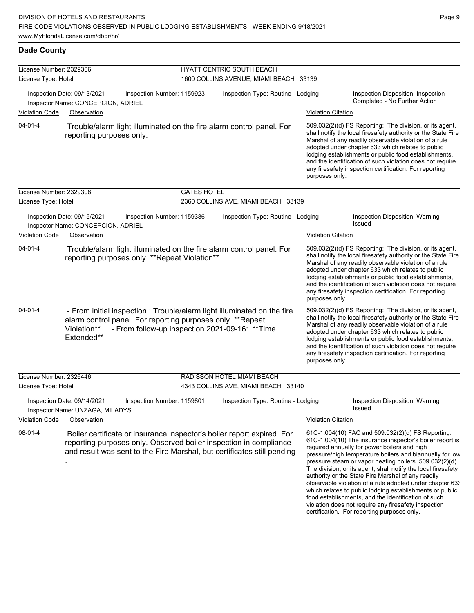| License Number: 2329306 |                                                                   |                                                                                                                                                                                                                        |                    | HYATT CENTRIC SOUTH BEACH              |                           |                                                                                                                                                                                                                                                                                                                                                                                                                                                                                                                                                                                                                                                                                                  |
|-------------------------|-------------------------------------------------------------------|------------------------------------------------------------------------------------------------------------------------------------------------------------------------------------------------------------------------|--------------------|----------------------------------------|---------------------------|--------------------------------------------------------------------------------------------------------------------------------------------------------------------------------------------------------------------------------------------------------------------------------------------------------------------------------------------------------------------------------------------------------------------------------------------------------------------------------------------------------------------------------------------------------------------------------------------------------------------------------------------------------------------------------------------------|
| License Type: Hotel     |                                                                   |                                                                                                                                                                                                                        |                    | 1600 COLLINS AVENUE, MIAMI BEACH 33139 |                           |                                                                                                                                                                                                                                                                                                                                                                                                                                                                                                                                                                                                                                                                                                  |
|                         | Inspection Date: 09/13/2021<br>Inspector Name: CONCEPCION, ADRIEL | Inspection Number: 1159923                                                                                                                                                                                             |                    | Inspection Type: Routine - Lodging     |                           | Inspection Disposition: Inspection<br>Completed - No Further Action                                                                                                                                                                                                                                                                                                                                                                                                                                                                                                                                                                                                                              |
| <b>Violation Code</b>   | Observation                                                       |                                                                                                                                                                                                                        |                    |                                        | <b>Violation Citation</b> |                                                                                                                                                                                                                                                                                                                                                                                                                                                                                                                                                                                                                                                                                                  |
| $04 - 01 - 4$           | reporting purposes only.                                          | Trouble/alarm light illuminated on the fire alarm control panel. For                                                                                                                                                   |                    |                                        | purposes only.            | 509.032(2)(d) FS Reporting: The division, or its agent,<br>shall notify the local firesafety authority or the State Fire<br>Marshal of any readily observable violation of a rule<br>adopted under chapter 633 which relates to public<br>lodging establishments or public food establishments,<br>and the identification of such violation does not require<br>any firesafety inspection certification. For reporting                                                                                                                                                                                                                                                                           |
| License Number: 2329308 |                                                                   |                                                                                                                                                                                                                        | <b>GATES HOTEL</b> |                                        |                           |                                                                                                                                                                                                                                                                                                                                                                                                                                                                                                                                                                                                                                                                                                  |
| License Type: Hotel     |                                                                   |                                                                                                                                                                                                                        |                    | 2360 COLLINS AVE, MIAMI BEACH 33139    |                           |                                                                                                                                                                                                                                                                                                                                                                                                                                                                                                                                                                                                                                                                                                  |
|                         | Inspection Date: 09/15/2021<br>Inspector Name: CONCEPCION, ADRIEL | Inspection Number: 1159386                                                                                                                                                                                             |                    | Inspection Type: Routine - Lodging     |                           | Inspection Disposition: Warning<br><b>Issued</b>                                                                                                                                                                                                                                                                                                                                                                                                                                                                                                                                                                                                                                                 |
| <b>Violation Code</b>   | Observation                                                       |                                                                                                                                                                                                                        |                    |                                        | <b>Violation Citation</b> |                                                                                                                                                                                                                                                                                                                                                                                                                                                                                                                                                                                                                                                                                                  |
| $04 - 01 - 4$           |                                                                   | Trouble/alarm light illuminated on the fire alarm control panel. For<br>reporting purposes only. **Repeat Violation**                                                                                                  |                    |                                        | purposes only.            | 509.032(2)(d) FS Reporting: The division, or its agent,<br>shall notify the local firesafety authority or the State Fire<br>Marshal of any readily observable violation of a rule<br>adopted under chapter 633 which relates to public<br>lodging establishments or public food establishments,<br>and the identification of such violation does not require<br>any firesafety inspection certification. For reporting                                                                                                                                                                                                                                                                           |
| $04 - 01 - 4$           | Violation**<br>Extended**                                         | - From initial inspection : Trouble/alarm light illuminated on the fire<br>alarm control panel. For reporting purposes only. **Repeat<br>- From follow-up inspection 2021-09-16: ** Time                               |                    |                                        | purposes only.            | 509.032(2)(d) FS Reporting: The division, or its agent,<br>shall notify the local firesafety authority or the State Fire<br>Marshal of any readily observable violation of a rule<br>adopted under chapter 633 which relates to public<br>lodging establishments or public food establishments,<br>and the identification of such violation does not require<br>any firesafety inspection certification. For reporting                                                                                                                                                                                                                                                                           |
| License Number: 2326446 |                                                                   |                                                                                                                                                                                                                        |                    | RADISSON HOTEL MIAMI BEACH             |                           |                                                                                                                                                                                                                                                                                                                                                                                                                                                                                                                                                                                                                                                                                                  |
| License Type: Hotel     |                                                                   |                                                                                                                                                                                                                        |                    | 4343 COLLINS AVE, MIAMI BEACH 33140    |                           |                                                                                                                                                                                                                                                                                                                                                                                                                                                                                                                                                                                                                                                                                                  |
|                         | Inspection Date: 09/14/2021<br>Inspector Name: UNZAGA, MILADYS    | Inspection Number: 1159801                                                                                                                                                                                             |                    | Inspection Type: Routine - Lodging     |                           | <b>Inspection Disposition: Warning</b><br>Issued                                                                                                                                                                                                                                                                                                                                                                                                                                                                                                                                                                                                                                                 |
| <b>Violation Code</b>   | Observation                                                       |                                                                                                                                                                                                                        |                    |                                        | <b>Violation Citation</b> |                                                                                                                                                                                                                                                                                                                                                                                                                                                                                                                                                                                                                                                                                                  |
| 08-01-4                 |                                                                   | Boiler certificate or insurance inspector's boiler report expired. For<br>reporting purposes only. Observed boiler inspection in compliance<br>and result was sent to the Fire Marshal, but certificates still pending |                    |                                        |                           | 61C-1.004(10) FAC and 509.032(2)(d) FS Reporting:<br>61C-1.004(10) The insurance inspector's boiler report is<br>required annually for power boilers and high<br>pressure/high temperature boilers and biannually for low<br>pressure steam or vapor heating boilers. 509.032(2)(d)<br>The division, or its agent, shall notify the local firesafety<br>authority or the State Fire Marshal of any readily<br>observable violation of a rule adopted under chapter 633<br>which relates to public lodging establishments or public<br>food establishments, and the identification of such<br>violation does not require any firesafety inspection<br>certification. For reporting purposes only. |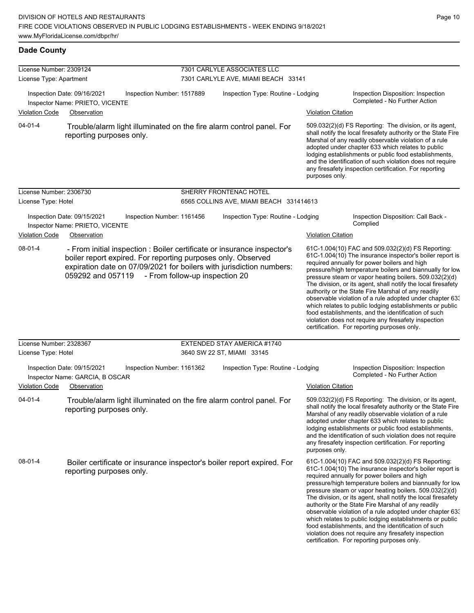| License Number: 2309124 |                                                                                              |                                                                                                                                                                                                                                                                     | 7301 CARLYLE ASSOCIATES LLC             |                           |                                                                                                                                                                                                                                                                                                                                                                                                                                                                                                                                                                                                                                                                                                  |  |  |
|-------------------------|----------------------------------------------------------------------------------------------|---------------------------------------------------------------------------------------------------------------------------------------------------------------------------------------------------------------------------------------------------------------------|-----------------------------------------|---------------------------|--------------------------------------------------------------------------------------------------------------------------------------------------------------------------------------------------------------------------------------------------------------------------------------------------------------------------------------------------------------------------------------------------------------------------------------------------------------------------------------------------------------------------------------------------------------------------------------------------------------------------------------------------------------------------------------------------|--|--|
| License Type: Apartment |                                                                                              |                                                                                                                                                                                                                                                                     | 7301 CARLYLE AVE, MIAMI BEACH 33141     |                           |                                                                                                                                                                                                                                                                                                                                                                                                                                                                                                                                                                                                                                                                                                  |  |  |
|                         | Inspection Date: 09/16/2021<br>Inspection Number: 1517889<br>Inspector Name: PRIETO, VICENTE |                                                                                                                                                                                                                                                                     | Inspection Type: Routine - Lodging      |                           | Inspection Disposition: Inspection<br>Completed - No Further Action                                                                                                                                                                                                                                                                                                                                                                                                                                                                                                                                                                                                                              |  |  |
| <b>Violation Code</b>   | Observation                                                                                  |                                                                                                                                                                                                                                                                     |                                         | <b>Violation Citation</b> |                                                                                                                                                                                                                                                                                                                                                                                                                                                                                                                                                                                                                                                                                                  |  |  |
| $04 - 01 - 4$           | reporting purposes only.                                                                     | Trouble/alarm light illuminated on the fire alarm control panel. For                                                                                                                                                                                                |                                         | purposes only.            | 509.032(2)(d) FS Reporting: The division, or its agent,<br>shall notify the local firesafety authority or the State Fire<br>Marshal of any readily observable violation of a rule<br>adopted under chapter 633 which relates to public<br>lodging establishments or public food establishments,<br>and the identification of such violation does not require<br>any firesafety inspection certification. For reporting                                                                                                                                                                                                                                                                           |  |  |
| License Number: 2306730 |                                                                                              |                                                                                                                                                                                                                                                                     | SHERRY FRONTENAC HOTEL                  |                           |                                                                                                                                                                                                                                                                                                                                                                                                                                                                                                                                                                                                                                                                                                  |  |  |
| License Type: Hotel     |                                                                                              |                                                                                                                                                                                                                                                                     | 6565 COLLINS AVE, MIAMI BEACH 331414613 |                           |                                                                                                                                                                                                                                                                                                                                                                                                                                                                                                                                                                                                                                                                                                  |  |  |
|                         | Inspection Date: 09/15/2021<br>Inspector Name: PRIETO, VICENTE                               | Inspection Number: 1161456                                                                                                                                                                                                                                          | Inspection Type: Routine - Lodging      |                           | Inspection Disposition: Call Back -<br>Complied                                                                                                                                                                                                                                                                                                                                                                                                                                                                                                                                                                                                                                                  |  |  |
| <b>Violation Code</b>   | Observation                                                                                  |                                                                                                                                                                                                                                                                     |                                         | <b>Violation Citation</b> |                                                                                                                                                                                                                                                                                                                                                                                                                                                                                                                                                                                                                                                                                                  |  |  |
| $08 - 01 - 4$           |                                                                                              | - From initial inspection : Boiler certificate or insurance inspector's<br>boiler report expired. For reporting purposes only. Observed<br>expiration date on 07/09/2021 for boilers with jurisdiction numbers:<br>059292 and 057119 - From follow-up inspection 20 |                                         |                           | 61C-1.004(10) FAC and 509.032(2)(d) FS Reporting:<br>61C-1.004(10) The insurance inspector's boiler report is<br>required annually for power boilers and high<br>pressure/high temperature boilers and biannually for low<br>pressure steam or vapor heating boilers. 509.032(2)(d)<br>The division, or its agent, shall notify the local firesafety<br>authority or the State Fire Marshal of any readily<br>observable violation of a rule adopted under chapter 63.<br>which relates to public lodging establishments or public<br>food establishments, and the identification of such<br>violation does not require any firesafety inspection<br>certification. For reporting purposes only. |  |  |
| License Number: 2328367 |                                                                                              |                                                                                                                                                                                                                                                                     | <b>EXTENDED STAY AMERICA #1740</b>      |                           |                                                                                                                                                                                                                                                                                                                                                                                                                                                                                                                                                                                                                                                                                                  |  |  |
| License Type: Hotel     |                                                                                              |                                                                                                                                                                                                                                                                     | 3640 SW 22 ST, MIAMI 33145              |                           |                                                                                                                                                                                                                                                                                                                                                                                                                                                                                                                                                                                                                                                                                                  |  |  |
| Violation Code          | Inspection Date: 09/15/2021<br>Inspector Name: GARCIA, B OSCAR<br>Observation                | Inspection Number: 1161362                                                                                                                                                                                                                                          | Inspection Type: Routine - Lodging      | <b>Violation Citation</b> | Inspection Disposition: Inspection<br>Completed - No Further Action                                                                                                                                                                                                                                                                                                                                                                                                                                                                                                                                                                                                                              |  |  |
| $04 - 01 - 4$           | reporting purposes only.                                                                     | Trouble/alarm light illuminated on the fire alarm control panel. For                                                                                                                                                                                                |                                         | purposes only.            | 509.032(2)(d) FS Reporting: The division, or its agent,<br>shall notify the local firesafety authority or the State Fire<br>Marshal of any readily observable violation of a rule<br>adopted under chapter 633 which relates to public<br>lodging establishments or public food establishments,<br>and the identification of such violation does not require<br>any firesafety inspection certification. For reporting                                                                                                                                                                                                                                                                           |  |  |
| 08-01-4                 | reporting purposes only.                                                                     | Boiler certificate or insurance inspector's boiler report expired. For                                                                                                                                                                                              |                                         |                           | 61C-1.004(10) FAC and 509.032(2)(d) FS Reporting:<br>61C-1.004(10) The insurance inspector's boiler report is<br>required annually for power boilers and high<br>pressure/high temperature boilers and biannually for low<br>pressure steam or vapor heating boilers. 509.032(2)(d)<br>The division, or its agent, shall notify the local firesafety<br>authority or the State Fire Marshal of any readily<br>observable violation of a rule adopted under chapter 633<br>which relates to public lodging establishments or public<br>food establishments, and the identification of such<br>violation does not require any firesafety inspection<br>certification. For reporting purposes only. |  |  |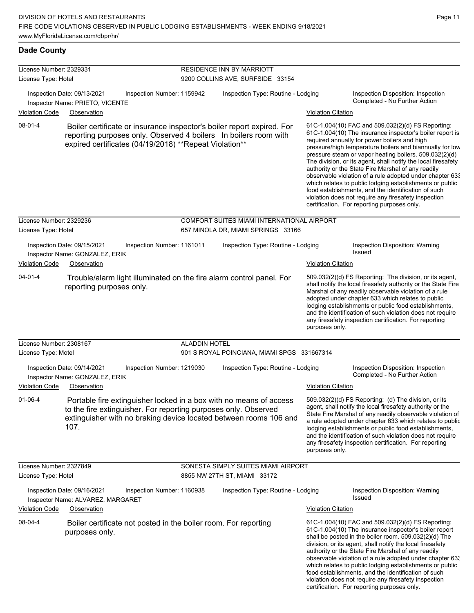| License Number: 2329331<br>License Type: Hotel |                                                                                                                                                                                                                    |                      | RESIDENCE INN BY MARRIOTT<br>9200 COLLINS AVE, SURFSIDE 33154                    |                           |                                                                                                                                                                                                                                                                                                                                                                                                                                                                                                                                                                                                                                                                                                  |
|------------------------------------------------|--------------------------------------------------------------------------------------------------------------------------------------------------------------------------------------------------------------------|----------------------|----------------------------------------------------------------------------------|---------------------------|--------------------------------------------------------------------------------------------------------------------------------------------------------------------------------------------------------------------------------------------------------------------------------------------------------------------------------------------------------------------------------------------------------------------------------------------------------------------------------------------------------------------------------------------------------------------------------------------------------------------------------------------------------------------------------------------------|
|                                                | Inspection Date: 09/13/2021<br>Inspection Number: 1159942<br>Inspector Name: PRIETO, VICENTE                                                                                                                       |                      | Inspection Type: Routine - Lodging                                               |                           | Inspection Disposition: Inspection<br>Completed - No Further Action                                                                                                                                                                                                                                                                                                                                                                                                                                                                                                                                                                                                                              |
| <b>Violation Code</b>                          | Observation                                                                                                                                                                                                        |                      |                                                                                  | <b>Violation Citation</b> |                                                                                                                                                                                                                                                                                                                                                                                                                                                                                                                                                                                                                                                                                                  |
| $08-01-4$                                      | Boiler certificate or insurance inspector's boiler report expired. For<br>reporting purposes only. Observed 4 boilers In boilers room with<br>expired certificates (04/19/2018) ** Repeat Violation**              |                      |                                                                                  |                           | 61C-1.004(10) FAC and 509.032(2)(d) FS Reporting:<br>61C-1.004(10) The insurance inspector's boiler report is<br>required annually for power boilers and high<br>pressure/high temperature boilers and biannually for low<br>pressure steam or vapor heating boilers. 509.032(2)(d)<br>The division, or its agent, shall notify the local firesafety<br>authority or the State Fire Marshal of any readily<br>observable violation of a rule adopted under chapter 63.<br>which relates to public lodging establishments or public<br>food establishments, and the identification of such<br>violation does not require any firesafety inspection<br>certification. For reporting purposes only. |
| License Number: 2329236<br>License Type: Hotel |                                                                                                                                                                                                                    |                      | COMFORT SUITES MIAMI INTERNATIONAL AIRPORT<br>657 MINOLA DR, MIAMI SPRINGS 33166 |                           |                                                                                                                                                                                                                                                                                                                                                                                                                                                                                                                                                                                                                                                                                                  |
|                                                | Inspection Date: 09/15/2021<br>Inspection Number: 1161011<br>Inspector Name: GONZALEZ, ERIK                                                                                                                        |                      | Inspection Type: Routine - Lodging                                               |                           | Inspection Disposition: Warning<br>Issued                                                                                                                                                                                                                                                                                                                                                                                                                                                                                                                                                                                                                                                        |
| <b>Violation Code</b>                          | Observation                                                                                                                                                                                                        |                      |                                                                                  | <b>Violation Citation</b> |                                                                                                                                                                                                                                                                                                                                                                                                                                                                                                                                                                                                                                                                                                  |
| $04 - 01 - 4$                                  | Trouble/alarm light illuminated on the fire alarm control panel. For<br>reporting purposes only.                                                                                                                   |                      |                                                                                  | purposes only.            | 509.032(2)(d) FS Reporting: The division, or its agent,<br>shall notify the local firesafety authority or the State Fire<br>Marshal of any readily observable violation of a rule<br>adopted under chapter 633 which relates to public<br>lodging establishments or public food establishments,<br>and the identification of such violation does not require<br>any firesafety inspection certification. For reporting                                                                                                                                                                                                                                                                           |
| License Number: 2308167                        |                                                                                                                                                                                                                    | <b>ALADDIN HOTEL</b> |                                                                                  |                           |                                                                                                                                                                                                                                                                                                                                                                                                                                                                                                                                                                                                                                                                                                  |
| License Type: Motel                            |                                                                                                                                                                                                                    |                      | 901 S ROYAL POINCIANA, MIAMI SPGS 331667314                                      |                           |                                                                                                                                                                                                                                                                                                                                                                                                                                                                                                                                                                                                                                                                                                  |
|                                                | Inspection Date: 09/14/2021<br>Inspection Number: 1219030<br>Inspector Name: GONZALEZ, ERIK                                                                                                                        |                      | Inspection Type: Routine - Lodging                                               |                           | Inspection Disposition: Inspection<br>Completed - No Further Action                                                                                                                                                                                                                                                                                                                                                                                                                                                                                                                                                                                                                              |
| <b>Violation Code</b>                          | Observation                                                                                                                                                                                                        |                      |                                                                                  | <b>Violation Citation</b> |                                                                                                                                                                                                                                                                                                                                                                                                                                                                                                                                                                                                                                                                                                  |
| 01-06-4                                        | Portable fire extinguisher locked in a box with no means of access<br>to the fire extinguisher. For reporting purposes only. Observed<br>extinguisher with no braking device located between rooms 106 and<br>107. |                      |                                                                                  | purposes only.            | 509.032(2)(d) FS Reporting: (d) The division, or its<br>agent, shall notify the local firesafety authority or the<br>State Fire Marshal of any readily observable violation of<br>a rule adopted under chapter 633 which relates to public<br>lodging establishments or public food establishments,<br>and the identification of such violation does not require<br>any firesafety inspection certification. For reporting                                                                                                                                                                                                                                                                       |
| License Number: 2327849<br>License Type: Hotel |                                                                                                                                                                                                                    |                      | SONESTA SIMPLY SUITES MIAMI AIRPORT<br>8855 NW 27TH ST, MIAMI 33172              |                           |                                                                                                                                                                                                                                                                                                                                                                                                                                                                                                                                                                                                                                                                                                  |
|                                                | Inspection Date: 09/16/2021<br>Inspection Number: 1160938<br>Inspector Name: ALVAREZ, MARGARET                                                                                                                     |                      | Inspection Type: Routine - Lodging                                               |                           | Inspection Disposition: Warning<br>Issued                                                                                                                                                                                                                                                                                                                                                                                                                                                                                                                                                                                                                                                        |
| <b>Violation Code</b>                          | Observation                                                                                                                                                                                                        |                      |                                                                                  | <b>Violation Citation</b> |                                                                                                                                                                                                                                                                                                                                                                                                                                                                                                                                                                                                                                                                                                  |
| 08-04-4                                        | Boiler certificate not posted in the boiler room. For reporting<br>purposes only.                                                                                                                                  |                      |                                                                                  |                           | 61C-1.004(10) FAC and 509.032(2)(d) FS Reporting:<br>61C-1.004(10) The insurance inspector's boiler report<br>shall be posted in the boiler room. 509.032(2)(d) The<br>division, or its agent, shall notify the local firesafety<br>authority or the State Fire Marshal of any readily<br>observable violation of a rule adopted under chapter 63.<br>which relates to public lodging establishments or public<br>food establishments, and the identification of such<br>violation does not require any firesafety inspection                                                                                                                                                                    |

certification. For reporting purposes only.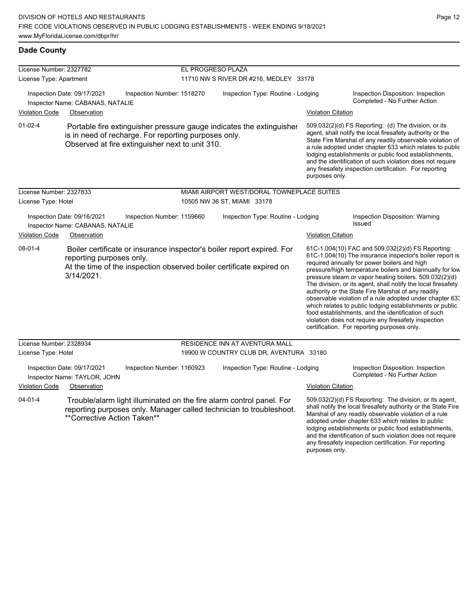| License Number: 2327782 |                                                                 |                                                                                                                                                                                 | EL PROGRESO PLAZA                  |                                            |                           |                                                                                                                                                                                                                                                                                                                                                                                                                                                                                                                                                                                                                                                                                                  |
|-------------------------|-----------------------------------------------------------------|---------------------------------------------------------------------------------------------------------------------------------------------------------------------------------|------------------------------------|--------------------------------------------|---------------------------|--------------------------------------------------------------------------------------------------------------------------------------------------------------------------------------------------------------------------------------------------------------------------------------------------------------------------------------------------------------------------------------------------------------------------------------------------------------------------------------------------------------------------------------------------------------------------------------------------------------------------------------------------------------------------------------------------|
| License Type: Apartment |                                                                 |                                                                                                                                                                                 |                                    | 11710 NW S RIVER DR #216, MEDLEY 33178     |                           |                                                                                                                                                                                                                                                                                                                                                                                                                                                                                                                                                                                                                                                                                                  |
| <b>Violation Code</b>   | Inspection Date: 09/17/2021<br>Inspector Name: CABANAS, NATALIE | Inspection Number: 1518270                                                                                                                                                      | Inspection Type: Routine - Lodging |                                            |                           | Inspection Disposition: Inspection<br>Completed - No Further Action                                                                                                                                                                                                                                                                                                                                                                                                                                                                                                                                                                                                                              |
|                         | Observation                                                     |                                                                                                                                                                                 |                                    |                                            | <b>Violation Citation</b> |                                                                                                                                                                                                                                                                                                                                                                                                                                                                                                                                                                                                                                                                                                  |
| $01-02-4$               |                                                                 | Portable fire extinguisher pressure gauge indicates the extinguisher<br>is in need of recharge. For reporting purposes only.<br>Observed at fire extinguisher next to unit 310. |                                    |                                            | purposes only.            | 509.032(2)(d) FS Reporting (d) The division, or its<br>agent, shall notify the local firesafety authority or the<br>State Fire Marshal of any readily observable violation of<br>a rule adopted under chapter 633 which relates to public<br>lodging establishments or public food establishments,<br>and the identification of such violation does not require<br>any firesafety inspection certification. For reporting                                                                                                                                                                                                                                                                        |
| License Number: 2327833 |                                                                 |                                                                                                                                                                                 |                                    | MIAMI AIRPORT WEST/DORAL TOWNEPLACE SUITES |                           |                                                                                                                                                                                                                                                                                                                                                                                                                                                                                                                                                                                                                                                                                                  |
| License Type: Hotel     |                                                                 |                                                                                                                                                                                 |                                    | 10505 NW 36 ST, MIAMI 33178                |                           |                                                                                                                                                                                                                                                                                                                                                                                                                                                                                                                                                                                                                                                                                                  |
|                         | Inspection Date: 09/16/2021<br>Inspector Name: CABANAS, NATALIE | Inspection Number: 1159660                                                                                                                                                      |                                    | Inspection Type: Routine - Lodging         |                           | Inspection Disposition: Warning<br>Issued                                                                                                                                                                                                                                                                                                                                                                                                                                                                                                                                                                                                                                                        |
| <b>Violation Code</b>   | Observation                                                     |                                                                                                                                                                                 |                                    |                                            | <b>Violation Citation</b> |                                                                                                                                                                                                                                                                                                                                                                                                                                                                                                                                                                                                                                                                                                  |
| $08 - 01 - 4$           | reporting purposes only.<br>3/14/2021.                          | Boiler certificate or insurance inspector's boiler report expired. For<br>At the time of the inspection observed boiler certificate expired on                                  |                                    |                                            |                           | 61C-1.004(10) FAC and 509.032(2)(d) FS Reporting:<br>61C-1.004(10) The insurance inspector's boiler report is<br>required annually for power boilers and high<br>pressure/high temperature boilers and biannually for low<br>pressure steam or vapor heating boilers. 509.032(2)(d)<br>The division, or its agent, shall notify the local firesafety<br>authority or the State Fire Marshal of any readily<br>observable violation of a rule adopted under chapter 63.<br>which relates to public lodging establishments or public<br>food establishments, and the identification of such<br>violation does not require any firesafety inspection<br>certification. For reporting purposes only. |
| License Number: 2328934 |                                                                 |                                                                                                                                                                                 |                                    | RESIDENCE INN AT AVENTURA MALL             |                           |                                                                                                                                                                                                                                                                                                                                                                                                                                                                                                                                                                                                                                                                                                  |
| License Type: Hotel     |                                                                 |                                                                                                                                                                                 |                                    | 19900 W COUNTRY CLUB DR, AVENTURA 33180    |                           |                                                                                                                                                                                                                                                                                                                                                                                                                                                                                                                                                                                                                                                                                                  |
|                         | Inspection Date: 09/17/2021<br>Inspector Name: TAYLOR, JOHN     | Inspection Number: 1160923                                                                                                                                                      |                                    | Inspection Type: Routine - Lodging         |                           | Inspection Disposition: Inspection<br>Completed - No Further Action                                                                                                                                                                                                                                                                                                                                                                                                                                                                                                                                                                                                                              |
| <b>Violation Code</b>   | Observation                                                     |                                                                                                                                                                                 |                                    |                                            | <b>Violation Citation</b> |                                                                                                                                                                                                                                                                                                                                                                                                                                                                                                                                                                                                                                                                                                  |
| $04 - 01 - 4$           | **Corrective Action Taken**                                     | Trouble/alarm light illuminated on the fire alarm control panel. For<br>reporting purposes only. Manager called technician to troubleshoot.                                     |                                    |                                            |                           | 509.032(2)(d) FS Reporting: The division, or its agent,<br>shall notify the local firesafety authority or the State Fire<br>Marshal of any readily observable violation of a rule<br>adopted under chapter 633 which relates to public<br>lodging establishments or public food establishments,<br>and the identification of such violation does not require<br>any firesafety inspection certification. For reporting                                                                                                                                                                                                                                                                           |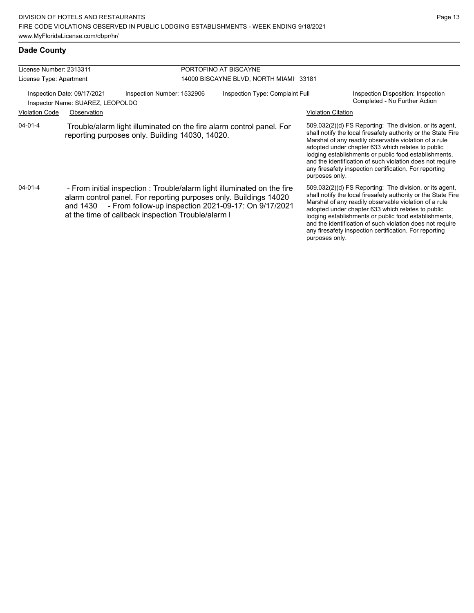| License Number: 2313311                                                                       |                                                                                                                                                                                                                                                                        | PORTOFINO AT BISCAYNE |  |                                        |                                                                                                                                                                                                                                                                                                                                                                                                                                          |                                                                                                                                                                                                                                                                                                                                                                                                                        |  |
|-----------------------------------------------------------------------------------------------|------------------------------------------------------------------------------------------------------------------------------------------------------------------------------------------------------------------------------------------------------------------------|-----------------------|--|----------------------------------------|------------------------------------------------------------------------------------------------------------------------------------------------------------------------------------------------------------------------------------------------------------------------------------------------------------------------------------------------------------------------------------------------------------------------------------------|------------------------------------------------------------------------------------------------------------------------------------------------------------------------------------------------------------------------------------------------------------------------------------------------------------------------------------------------------------------------------------------------------------------------|--|
|                                                                                               |                                                                                                                                                                                                                                                                        |                       |  |                                        |                                                                                                                                                                                                                                                                                                                                                                                                                                          |                                                                                                                                                                                                                                                                                                                                                                                                                        |  |
| License Type: Apartment                                                                       |                                                                                                                                                                                                                                                                        |                       |  | 14000 BISCAYNE BLVD, NORTH MIAMI 33181 |                                                                                                                                                                                                                                                                                                                                                                                                                                          |                                                                                                                                                                                                                                                                                                                                                                                                                        |  |
| Inspection Number: 1532906<br>Inspection Date: 09/17/2021<br>Inspector Name: SUAREZ, LEOPOLDO |                                                                                                                                                                                                                                                                        |                       |  | Inspection Type: Complaint Full        |                                                                                                                                                                                                                                                                                                                                                                                                                                          | Inspection Disposition: Inspection<br>Completed - No Further Action                                                                                                                                                                                                                                                                                                                                                    |  |
| <b>Violation Code</b>                                                                         | Observation                                                                                                                                                                                                                                                            |                       |  |                                        | <b>Violation Citation</b>                                                                                                                                                                                                                                                                                                                                                                                                                |                                                                                                                                                                                                                                                                                                                                                                                                                        |  |
| $04 - 01 - 4$                                                                                 | Trouble/alarm light illuminated on the fire alarm control panel. For<br>reporting purposes only. Building 14030, 14020.                                                                                                                                                |                       |  |                                        | 509.032(2)(d) FS Reporting: The division, or its agent,<br>shall notify the local firesafety authority or the State Fire<br>Marshal of any readily observable violation of a rule<br>adopted under chapter 633 which relates to public<br>lodging establishments or public food establishments,<br>and the identification of such violation does not require<br>any firesafety inspection certification. For reporting<br>purposes only. |                                                                                                                                                                                                                                                                                                                                                                                                                        |  |
| 04-01-4                                                                                       | - From initial inspection : Trouble/alarm light illuminated on the fire<br>alarm control panel. For reporting purposes only. Buildings 14020<br>- From follow-up inspection 2021-09-17: On 9/17/2021<br>and 1430<br>at the time of callback inspection Trouble/alarm I |                       |  |                                        | purposes only.                                                                                                                                                                                                                                                                                                                                                                                                                           | 509.032(2)(d) FS Reporting: The division, or its agent,<br>shall notify the local firesafety authority or the State Fire<br>Marshal of any readily observable violation of a rule<br>adopted under chapter 633 which relates to public<br>lodging establishments or public food establishments,<br>and the identification of such violation does not require<br>any firesafety inspection certification. For reporting |  |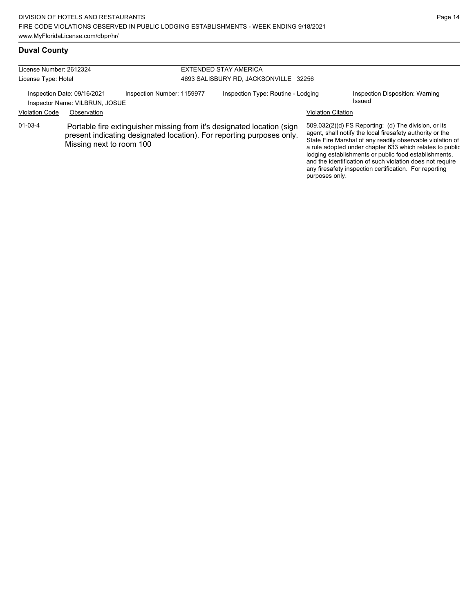any firesafety inspection certification. For reporting

purposes only.

## **Duval County**

| License Number: 2612324<br>License Type: Hotel                |                          |                                                                                                                                                 | <b>EXTENDED STAY AMERICA</b><br>4693 SALISBURY RD, JACKSONVILLE 32256 |                           |                                                                                                                                                                                                                                                                                                                                                                  |  |
|---------------------------------------------------------------|--------------------------|-------------------------------------------------------------------------------------------------------------------------------------------------|-----------------------------------------------------------------------|---------------------------|------------------------------------------------------------------------------------------------------------------------------------------------------------------------------------------------------------------------------------------------------------------------------------------------------------------------------------------------------------------|--|
| Inspection Date: 09/16/2021<br>Inspector Name: VILBRUN, JOSUE |                          | Inspection Number: 1159977                                                                                                                      | Inspection Type: Routine - Lodging                                    |                           | Inspection Disposition: Warning<br>Issued                                                                                                                                                                                                                                                                                                                        |  |
| <b>Violation Code</b>                                         | Observation              |                                                                                                                                                 |                                                                       | <b>Violation Citation</b> |                                                                                                                                                                                                                                                                                                                                                                  |  |
| $01 - 03 - 4$                                                 | Missing next to room 100 | Portable fire extinguisher missing from it's designated location (sign<br>present indicating designated location). For reporting purposes only. |                                                                       |                           | 509.032(2)(d) FS Reporting: (d) The division, or its<br>agent, shall notify the local firesafety authority or the<br>State Fire Marshal of any readily observable violation of<br>a rule adopted under chapter 633 which relates to public<br>lodging establishments or public food establishments,<br>and the identification of such violation does not require |  |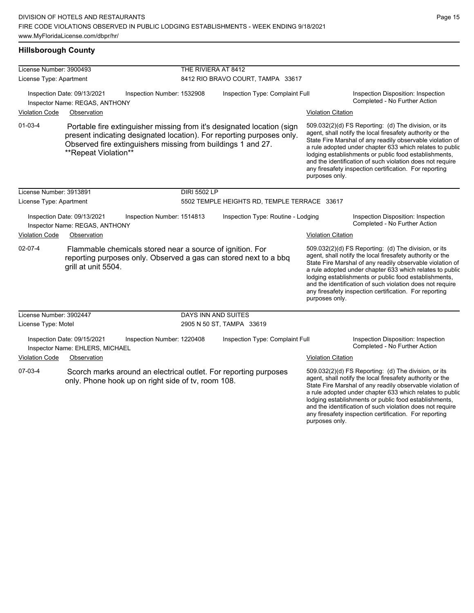#### **Hillsborough County**

| License Number: 3900493 |                                                                |                                                              | THE RIVIERA AT 8412 |                                                                                                                                                 |                           |                                                                                                                                                                                                                                                                                                                                                                                                                            |  |  |
|-------------------------|----------------------------------------------------------------|--------------------------------------------------------------|---------------------|-------------------------------------------------------------------------------------------------------------------------------------------------|---------------------------|----------------------------------------------------------------------------------------------------------------------------------------------------------------------------------------------------------------------------------------------------------------------------------------------------------------------------------------------------------------------------------------------------------------------------|--|--|
| License Type: Apartment |                                                                |                                                              |                     | 8412 RIO BRAVO COURT, TAMPA 33617                                                                                                               |                           |                                                                                                                                                                                                                                                                                                                                                                                                                            |  |  |
|                         | Inspection Date: 09/13/2021<br>Inspector Name: REGAS, ANTHONY  | Inspection Number: 1532908                                   |                     | Inspection Type: Complaint Full                                                                                                                 |                           | Inspection Disposition: Inspection<br>Completed - No Further Action                                                                                                                                                                                                                                                                                                                                                        |  |  |
| <b>Violation Code</b>   | Observation                                                    |                                                              |                     |                                                                                                                                                 | <b>Violation Citation</b> |                                                                                                                                                                                                                                                                                                                                                                                                                            |  |  |
| $01-03-4$               | **Repeat Violation**                                           | Observed fire extinguishers missing from buildings 1 and 27. |                     | Portable fire extinguisher missing from it's designated location (sign<br>present indicating designated location). For reporting purposes only. | purposes only.            | 509.032(2)(d) FS Reporting: (d) The division, or its<br>agent, shall notify the local firesafety authority or the<br>State Fire Marshal of any readily observable violation of<br>a rule adopted under chapter 633 which relates to public<br>lodging establishments or public food establishments,<br>and the identification of such violation does not require<br>any firesafety inspection certification. For reporting |  |  |
| License Number: 3913891 |                                                                |                                                              | <b>DIRI 5502 LP</b> |                                                                                                                                                 |                           |                                                                                                                                                                                                                                                                                                                                                                                                                            |  |  |
| License Type: Apartment |                                                                |                                                              |                     | 5502 TEMPLE HEIGHTS RD, TEMPLE TERRACE 33617                                                                                                    |                           |                                                                                                                                                                                                                                                                                                                                                                                                                            |  |  |
|                         | Inspection Date: 09/13/2021<br>Inspector Name: REGAS, ANTHONY  | Inspection Number: 1514813                                   |                     | Inspection Type: Routine - Lodging                                                                                                              |                           | Inspection Disposition: Inspection<br>Completed - No Further Action                                                                                                                                                                                                                                                                                                                                                        |  |  |
| <b>Violation Code</b>   | Observation                                                    |                                                              |                     |                                                                                                                                                 | <b>Violation Citation</b> |                                                                                                                                                                                                                                                                                                                                                                                                                            |  |  |
| $02-07-4$               | grill at unit 5504.                                            | Flammable chemicals stored near a source of ignition. For    |                     | reporting purposes only. Observed a gas can stored next to a bbq                                                                                | purposes only.            | 509.032(2)(d) FS Reporting: (d) The division, or its<br>agent, shall notify the local firesafety authority or the<br>State Fire Marshal of any readily observable violation of<br>a rule adopted under chapter 633 which relates to public<br>lodging establishments or public food establishments,<br>and the identification of such violation does not require<br>any firesafety inspection certification. For reporting |  |  |
| License Number: 3902447 |                                                                |                                                              | DAYS INN AND SUITES |                                                                                                                                                 |                           |                                                                                                                                                                                                                                                                                                                                                                                                                            |  |  |
| License Type: Motel     |                                                                |                                                              |                     | 2905 N 50 ST, TAMPA 33619                                                                                                                       |                           |                                                                                                                                                                                                                                                                                                                                                                                                                            |  |  |
|                         | Inspection Date: 09/15/2021<br>Inspector Name: EHLERS, MICHAEL | Inspection Number: 1220408                                   |                     | Inspection Type: Complaint Full                                                                                                                 |                           | Inspection Disposition: Inspection<br>Completed - No Further Action                                                                                                                                                                                                                                                                                                                                                        |  |  |
| <b>Violation Code</b>   | Observation                                                    |                                                              |                     |                                                                                                                                                 | <b>Violation Citation</b> |                                                                                                                                                                                                                                                                                                                                                                                                                            |  |  |
| 07-03-4                 |                                                                | only. Phone hook up on right side of tv, room 108.           |                     | Scorch marks around an electrical outlet. For reporting purposes                                                                                |                           | 509.032(2)(d) FS Reporting: (d) The division, or its<br>agent, shall notify the local firesafety authority or the<br>State Fire Marshal of any readily observable violation of<br>a rule adopted under chapter 633 which relates to public<br>lodging establishments or public food establishments,<br>and the identification of such violation does not require                                                           |  |  |

any firesafety inspection certification. For reporting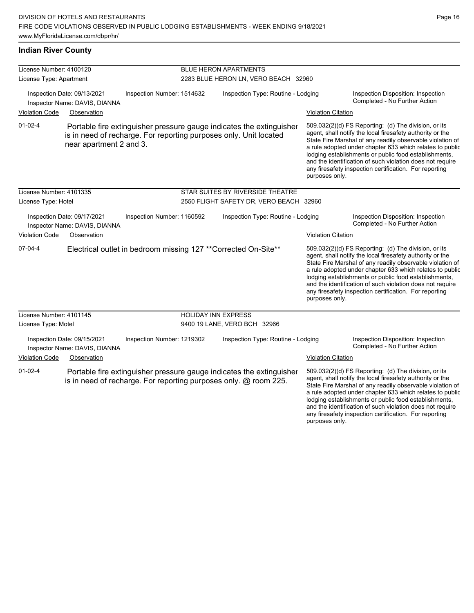## **Indian River County**

| License Number: 4100120 |                                                              |                            |                                      | <b>BLUE HERON APARTMENTS</b>                                                                                                              |                           |                                                                                                                                                                                                                                                                                                                                                                                                                            |  |
|-------------------------|--------------------------------------------------------------|----------------------------|--------------------------------------|-------------------------------------------------------------------------------------------------------------------------------------------|---------------------------|----------------------------------------------------------------------------------------------------------------------------------------------------------------------------------------------------------------------------------------------------------------------------------------------------------------------------------------------------------------------------------------------------------------------------|--|
| License Type: Apartment |                                                              |                            | 2283 BLUE HERON LN, VERO BEACH 32960 |                                                                                                                                           |                           |                                                                                                                                                                                                                                                                                                                                                                                                                            |  |
|                         | Inspection Date: 09/13/2021<br>Inspector Name: DAVIS, DIANNA | Inspection Number: 1514632 |                                      | Inspection Type: Routine - Lodging                                                                                                        |                           | Inspection Disposition: Inspection<br>Completed - No Further Action                                                                                                                                                                                                                                                                                                                                                        |  |
| <b>Violation Code</b>   | Observation                                                  |                            |                                      |                                                                                                                                           | <b>Violation Citation</b> |                                                                                                                                                                                                                                                                                                                                                                                                                            |  |
| $01 - 02 - 4$           | near apartment 2 and 3.                                      |                            |                                      | Portable fire extinguisher pressure gauge indicates the extinguisher<br>is in need of recharge. For reporting purposes only. Unit located | purposes only.            | 509.032(2)(d) FS Reporting: (d) The division, or its<br>agent, shall notify the local firesafety authority or the<br>State Fire Marshal of any readily observable violation of<br>a rule adopted under chapter 633 which relates to public<br>lodging establishments or public food establishments,<br>and the identification of such violation does not require<br>any firesafety inspection certification. For reporting |  |
| License Number: 4101335 |                                                              |                            |                                      | STAR SUITES BY RIVERSIDE THEATRE                                                                                                          |                           |                                                                                                                                                                                                                                                                                                                                                                                                                            |  |
| License Type: Hotel     |                                                              |                            |                                      | 2550 FLIGHT SAFETY DR, VERO BEACH 32960                                                                                                   |                           |                                                                                                                                                                                                                                                                                                                                                                                                                            |  |
|                         | Inspection Date: 09/17/2021<br>Inspector Name: DAVIS, DIANNA | Inspection Number: 1160592 |                                      | Inspection Type: Routine - Lodging                                                                                                        |                           | Inspection Disposition: Inspection<br>Completed - No Further Action                                                                                                                                                                                                                                                                                                                                                        |  |
| <b>Violation Code</b>   | Observation                                                  |                            |                                      |                                                                                                                                           | <b>Violation Citation</b> |                                                                                                                                                                                                                                                                                                                                                                                                                            |  |
| 07-04-4                 |                                                              |                            |                                      | Electrical outlet in bedroom missing 127 ** Corrected On-Site**                                                                           | purposes only.            | 509.032(2)(d) FS Reporting: (d) The division, or its<br>agent, shall notify the local firesafety authority or the<br>State Fire Marshal of any readily observable violation of<br>a rule adopted under chapter 633 which relates to public<br>lodging establishments or public food establishments,<br>and the identification of such violation does not require<br>any firesafety inspection certification. For reporting |  |
| License Number: 4101145 |                                                              |                            | <b>HOLIDAY INN EXPRESS</b>           |                                                                                                                                           |                           |                                                                                                                                                                                                                                                                                                                                                                                                                            |  |
| License Type: Motel     |                                                              |                            |                                      | 9400 19 LANE, VERO BCH 32966                                                                                                              |                           |                                                                                                                                                                                                                                                                                                                                                                                                                            |  |
|                         | Inspection Date: 09/15/2021<br>Inspector Name: DAVIS, DIANNA | Inspection Number: 1219302 |                                      | Inspection Type: Routine - Lodging                                                                                                        |                           | Inspection Disposition: Inspection<br>Completed - No Further Action                                                                                                                                                                                                                                                                                                                                                        |  |
| <b>Violation Code</b>   | Observation                                                  |                            |                                      |                                                                                                                                           | <b>Violation Citation</b> |                                                                                                                                                                                                                                                                                                                                                                                                                            |  |
| $01 - 02 - 4$           |                                                              |                            |                                      | Portable fire extinguisher pressure gauge indicates the extinguisher<br>is in need of recharge. For reporting purposes only. @ room 225.  | purposes only.            | 509.032(2)(d) FS Reporting: (d) The division, or its<br>agent, shall notify the local firesafety authority or the<br>State Fire Marshal of any readily observable violation of<br>a rule adopted under chapter 633 which relates to public<br>lodging establishments or public food establishments,<br>and the identification of such violation does not require<br>any firesafety inspection certification. For reporting |  |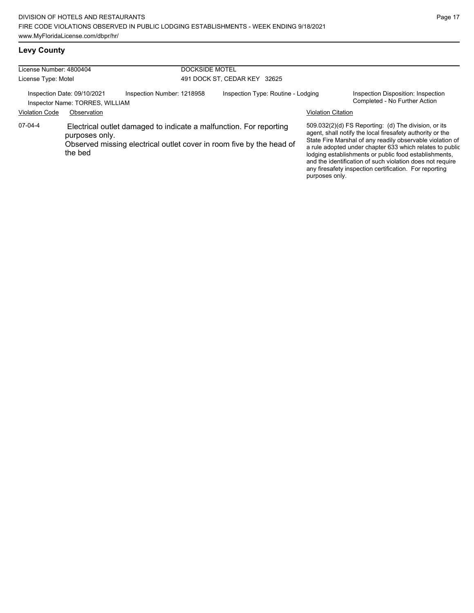## **Levy County**

| License Number: 4800404<br>License Type: Motel                                                                                       |                           |                                                                 | <b>DOCKSIDE MOTEL</b><br>491 DOCK ST, CEDAR KEY 32625 |                                                                                                                                            |  |                                                                                                                                                                                                                                                                                                                                                                                                                            |
|--------------------------------------------------------------------------------------------------------------------------------------|---------------------------|-----------------------------------------------------------------|-------------------------------------------------------|--------------------------------------------------------------------------------------------------------------------------------------------|--|----------------------------------------------------------------------------------------------------------------------------------------------------------------------------------------------------------------------------------------------------------------------------------------------------------------------------------------------------------------------------------------------------------------------------|
| Inspection Number: 1218958<br>Inspection Date: 09/10/2021<br>Inspector Name: TORRES, WILLIAM<br><b>Violation Code</b><br>Observation |                           | Inspection Type: Routine - Lodging<br><b>Violation Citation</b> |                                                       | Inspection Disposition: Inspection<br>Completed - No Further Action                                                                        |  |                                                                                                                                                                                                                                                                                                                                                                                                                            |
| 07-04-4                                                                                                                              | purposes only.<br>the bed |                                                                 |                                                       | Electrical outlet damaged to indicate a malfunction. For reporting<br>Observed missing electrical outlet cover in room five by the head of |  | 509.032(2)(d) FS Reporting: (d) The division, or its<br>agent, shall notify the local firesafety authority or the<br>State Fire Marshal of any readily observable violation of<br>a rule adopted under chapter 633 which relates to public<br>lodging establishments or public food establishments,<br>and the identification of such violation does not require<br>any firesafety inspection certification. For reporting |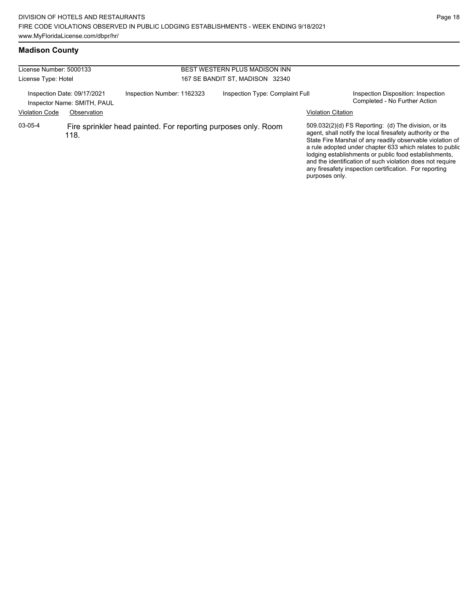## **Madison County**

| License Number: 5000133 |                                                            |                                                                | BEST WESTERN PLUS MADISON INN   |                           |                                                                                                                                                                                                                                                                                                                                                                                                                            |  |
|-------------------------|------------------------------------------------------------|----------------------------------------------------------------|---------------------------------|---------------------------|----------------------------------------------------------------------------------------------------------------------------------------------------------------------------------------------------------------------------------------------------------------------------------------------------------------------------------------------------------------------------------------------------------------------------|--|
| License Type: Hotel     |                                                            |                                                                | 167 SE BANDIT ST, MADISON 32340 |                           |                                                                                                                                                                                                                                                                                                                                                                                                                            |  |
|                         | Inspection Date: 09/17/2021<br>Inspector Name: SMITH, PAUL | Inspection Number: 1162323                                     | Inspection Type: Complaint Full |                           | Inspection Disposition: Inspection<br>Completed - No Further Action                                                                                                                                                                                                                                                                                                                                                        |  |
| <b>Violation Code</b>   | Observation                                                |                                                                |                                 | <b>Violation Citation</b> |                                                                                                                                                                                                                                                                                                                                                                                                                            |  |
| 03-05-4                 | 118.                                                       | Fire sprinkler head painted. For reporting purposes only. Room |                                 | purposes only.            | 509.032(2)(d) FS Reporting: (d) The division, or its<br>agent, shall notify the local firesafety authority or the<br>State Fire Marshal of any readily observable violation of<br>a rule adopted under chapter 633 which relates to public<br>lodging establishments or public food establishments,<br>and the identification of such violation does not require<br>any firesafety inspection certification. For reporting |  |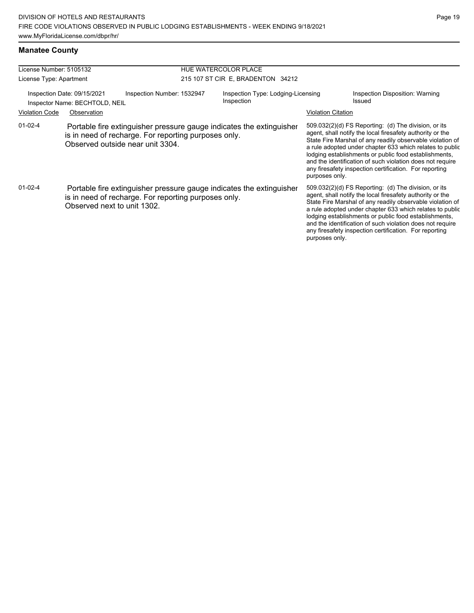#### **Manatee County**

| License Number: 5105132                                                                     |                                                                                                                                                                  |  |                                                  | HUE WATERCOLOR PLACE                                                                                                                                                                                                                                                                                                                                                                                                                         |                           |                                                                                                                                                                                                                                                                                                                                                                                                                              |  |
|---------------------------------------------------------------------------------------------|------------------------------------------------------------------------------------------------------------------------------------------------------------------|--|--------------------------------------------------|----------------------------------------------------------------------------------------------------------------------------------------------------------------------------------------------------------------------------------------------------------------------------------------------------------------------------------------------------------------------------------------------------------------------------------------------|---------------------------|------------------------------------------------------------------------------------------------------------------------------------------------------------------------------------------------------------------------------------------------------------------------------------------------------------------------------------------------------------------------------------------------------------------------------|--|
| License Type: Apartment                                                                     |                                                                                                                                                                  |  | 215 107 ST CIR E, BRADENTON 34212                |                                                                                                                                                                                                                                                                                                                                                                                                                                              |                           |                                                                                                                                                                                                                                                                                                                                                                                                                              |  |
| Inspection Date: 09/15/2021<br>Inspection Number: 1532947<br>Inspector Name: BECHTOLD, NEIL |                                                                                                                                                                  |  | Inspection Type: Lodging-Licensing<br>Inspection |                                                                                                                                                                                                                                                                                                                                                                                                                                              |                           | Inspection Disposition: Warning<br>Issued                                                                                                                                                                                                                                                                                                                                                                                    |  |
| <b>Violation Code</b>                                                                       | Observation                                                                                                                                                      |  |                                                  |                                                                                                                                                                                                                                                                                                                                                                                                                                              | <b>Violation Citation</b> |                                                                                                                                                                                                                                                                                                                                                                                                                              |  |
| $01-02-4$                                                                                   | Portable fire extinguisher pressure gauge indicates the extinguisher<br>is in need of recharge. For reporting purposes only.<br>Observed outside near unit 3304. |  |                                                  | 509.032(2)(d) FS Reporting: (d) The division, or its<br>agent, shall notify the local firesafety authority or the<br>State Fire Marshal of any readily observable violation of<br>a rule adopted under chapter 633 which relates to public<br>lodging establishments or public food establishments,<br>and the identification of such violation does not require<br>any firesafety inspection certification. For reporting<br>purposes only. |                           |                                                                                                                                                                                                                                                                                                                                                                                                                              |  |
| $01-02-4$                                                                                   | is in need of recharge. For reporting purposes only.<br>Observed next to unit 1302.                                                                              |  |                                                  | Portable fire extinguisher pressure gauge indicates the extinguisher                                                                                                                                                                                                                                                                                                                                                                         | purposes only.            | $509.032(2)(d)$ FS Reporting: (d) The division, or its<br>agent, shall notify the local firesafety authority or the<br>State Fire Marshal of any readily observable violation of<br>a rule adopted under chapter 633 which relates to public<br>lodging establishments or public food establishments,<br>and the identification of such violation does not require<br>any firesafety inspection certification. For reporting |  |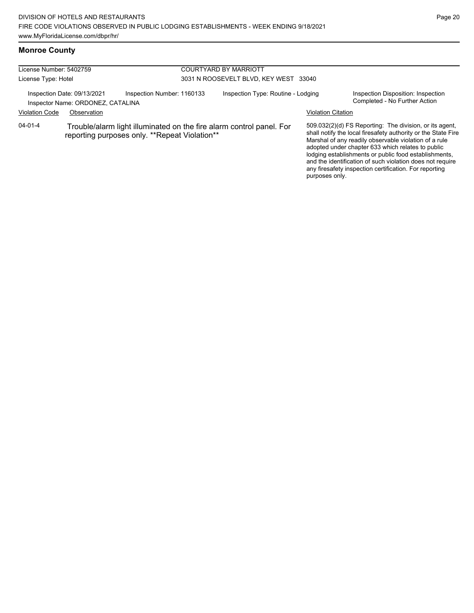## **Monroe County**

| License Number: 5402759                                                                                                          |                                                                  |                            | <b>COURTYARD BY MARRIOTT</b>          |                           |                                                                                                                                                                                                                                                                                                                                                                                                                        |  |  |
|----------------------------------------------------------------------------------------------------------------------------------|------------------------------------------------------------------|----------------------------|---------------------------------------|---------------------------|------------------------------------------------------------------------------------------------------------------------------------------------------------------------------------------------------------------------------------------------------------------------------------------------------------------------------------------------------------------------------------------------------------------------|--|--|
| License Type: Hotel                                                                                                              |                                                                  |                            | 3031 N ROOSEVELT BLVD. KEY WEST 33040 |                           |                                                                                                                                                                                                                                                                                                                                                                                                                        |  |  |
|                                                                                                                                  | Inspection Date: 09/13/2021<br>Inspector Name: ORDONEZ, CATALINA | Inspection Number: 1160133 | Inspection Type: Routine - Lodging    |                           | Inspection Disposition: Inspection<br>Completed - No Further Action                                                                                                                                                                                                                                                                                                                                                    |  |  |
| <b>Violation Code</b>                                                                                                            | Observation                                                      |                            |                                       | <b>Violation Citation</b> |                                                                                                                                                                                                                                                                                                                                                                                                                        |  |  |
| 04-01-4<br>Trouble/alarm light illuminated on the fire alarm control panel. For<br>reporting purposes only. **Repeat Violation** |                                                                  |                            |                                       | purposes only.            | 509.032(2)(d) FS Reporting: The division, or its agent,<br>shall notify the local firesafety authority or the State Fire<br>Marshal of any readily observable violation of a rule<br>adopted under chapter 633 which relates to public<br>lodging establishments or public food establishments,<br>and the identification of such violation does not require<br>any firesafety inspection certification. For reporting |  |  |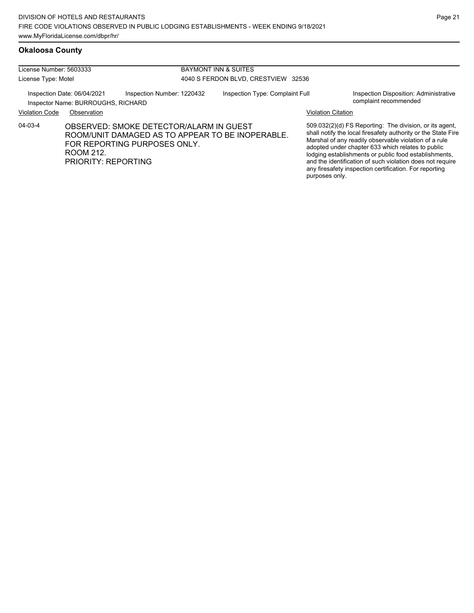| License Number: 5603333 |                                                                   |                                                                         | <b>BAYMONT INN &amp; SUITES</b> |                                                  |                           |                                                                                                                                                                                                                                                                                                                                                                                                                        |
|-------------------------|-------------------------------------------------------------------|-------------------------------------------------------------------------|---------------------------------|--------------------------------------------------|---------------------------|------------------------------------------------------------------------------------------------------------------------------------------------------------------------------------------------------------------------------------------------------------------------------------------------------------------------------------------------------------------------------------------------------------------------|
| License Type: Motel     |                                                                   | 4040 S FERDON BLVD, CRESTVIEW 32536                                     |                                 |                                                  |                           |                                                                                                                                                                                                                                                                                                                                                                                                                        |
|                         | Inspection Date: 06/04/2021<br>Inspector Name: BURROUGHS, RICHARD | Inspection Number: 1220432                                              |                                 | Inspection Type: Complaint Full                  |                           | Inspection Disposition: Administrative<br>complaint recommended                                                                                                                                                                                                                                                                                                                                                        |
| <b>Violation Code</b>   | Observation                                                       |                                                                         |                                 |                                                  | <b>Violation Citation</b> |                                                                                                                                                                                                                                                                                                                                                                                                                        |
| 04-03-4                 | ROOM 212.<br>PRIORITY: REPORTING                                  | OBSERVED: SMOKE DETECTOR/ALARM IN GUEST<br>FOR REPORTING PURPOSES ONLY. |                                 | ROOM/UNIT DAMAGED AS TO APPEAR TO BE INOPERABLE. | purposes only.            | 509.032(2)(d) FS Reporting: The division, or its agent,<br>shall notify the local firesafety authority or the State Fire<br>Marshal of any readily observable violation of a rule<br>adopted under chapter 633 which relates to public<br>lodging establishments or public food establishments,<br>and the identification of such violation does not require<br>any firesafety inspection certification. For reporting |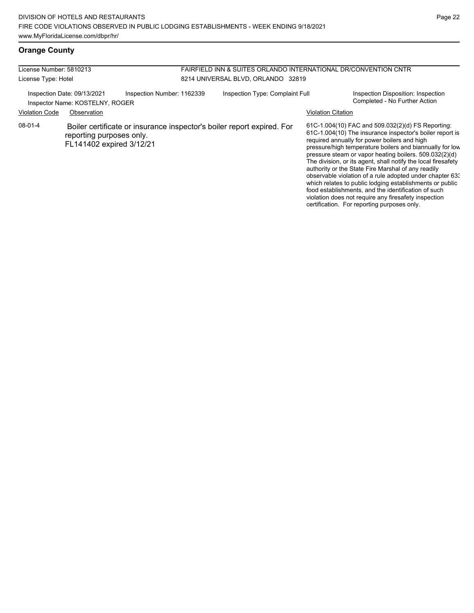violation does not require any firesafety inspection certification. For reporting purposes only.

#### **Orange County**

| License Number: 5810213<br>License Type: Hotel                                               |                                                      |  | FAIRFIELD INN & SUITES ORLANDO INTERNATIONAL DR/CONVENTION CNTR<br>8214 UNIVERSAL BLVD, ORLANDO 32819 |                                                                        |                                                                     |                                                                                                                                                                                                                                                                                                                                                                                                                                                                                                                                                                                           |
|----------------------------------------------------------------------------------------------|------------------------------------------------------|--|-------------------------------------------------------------------------------------------------------|------------------------------------------------------------------------|---------------------------------------------------------------------|-------------------------------------------------------------------------------------------------------------------------------------------------------------------------------------------------------------------------------------------------------------------------------------------------------------------------------------------------------------------------------------------------------------------------------------------------------------------------------------------------------------------------------------------------------------------------------------------|
| Inspection Number: 1162339<br>Inspection Date: 09/13/2021<br>Inspector Name: KOSTELNY, ROGER |                                                      |  | Inspection Type: Complaint Full                                                                       |                                                                        | Inspection Disposition: Inspection<br>Completed - No Further Action |                                                                                                                                                                                                                                                                                                                                                                                                                                                                                                                                                                                           |
| <b>Violation Code</b>                                                                        | Observation                                          |  |                                                                                                       |                                                                        | <b>Violation Citation</b>                                           |                                                                                                                                                                                                                                                                                                                                                                                                                                                                                                                                                                                           |
| 08-01-4                                                                                      | reporting purposes only.<br>FL141402 expired 3/12/21 |  |                                                                                                       | Boiler certificate or insurance inspector's boiler report expired. For |                                                                     | 61C-1.004(10) FAC and 509.032(2)(d) FS Reporting:<br>61C-1.004(10) The insurance inspector's boiler report is<br>required annually for power boilers and high<br>pressure/high temperature boilers and biannually for low<br>pressure steam or vapor heating boilers. 509.032(2)(d)<br>The division, or its agent, shall notify the local firesafety<br>authority or the State Fire Marshal of any readily<br>observable violation of a rule adopted under chapter 63.<br>which relates to public lodging establishments or public<br>food establishments, and the identification of such |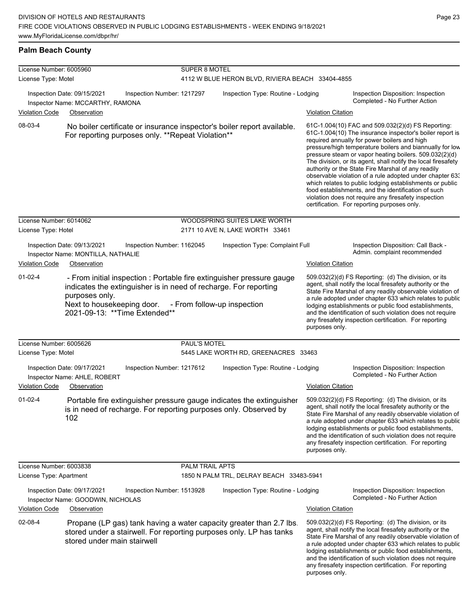#### **Palm Beach County**

| License Number: 6005960 |                                                                                                                                                                                                                             |                        | SUPER 8 MOTEL                                    |                           |                                                                                                                                                                                                                                                                                                                                                                                                                                                                                                                                                                                                                                                                                                  |  |  |  |
|-------------------------|-----------------------------------------------------------------------------------------------------------------------------------------------------------------------------------------------------------------------------|------------------------|--------------------------------------------------|---------------------------|--------------------------------------------------------------------------------------------------------------------------------------------------------------------------------------------------------------------------------------------------------------------------------------------------------------------------------------------------------------------------------------------------------------------------------------------------------------------------------------------------------------------------------------------------------------------------------------------------------------------------------------------------------------------------------------------------|--|--|--|
| License Type: Motel     |                                                                                                                                                                                                                             |                        | 4112 W BLUE HERON BLVD, RIVIERA BEACH 33404-4855 |                           |                                                                                                                                                                                                                                                                                                                                                                                                                                                                                                                                                                                                                                                                                                  |  |  |  |
|                         | Inspection Date: 09/15/2021<br>Inspection Number: 1217297<br>Inspector Name: MCCARTHY, RAMONA                                                                                                                               |                        | Inspection Type: Routine - Lodging               |                           | Inspection Disposition: Inspection<br>Completed - No Further Action                                                                                                                                                                                                                                                                                                                                                                                                                                                                                                                                                                                                                              |  |  |  |
| <b>Violation Code</b>   | Observation                                                                                                                                                                                                                 |                        |                                                  | <b>Violation Citation</b> |                                                                                                                                                                                                                                                                                                                                                                                                                                                                                                                                                                                                                                                                                                  |  |  |  |
| 08-03-4                 | No boiler certificate or insurance inspector's boiler report available.<br>For reporting purposes only. **Repeat Violation**                                                                                                |                        |                                                  |                           | 61C-1.004(10) FAC and 509.032(2)(d) FS Reporting:<br>61C-1.004(10) The insurance inspector's boiler report is<br>required annually for power boilers and high<br>pressure/high temperature boilers and biannually for low<br>pressure steam or vapor heating boilers. 509.032(2)(d)<br>The division, or its agent, shall notify the local firesafety<br>authority or the State Fire Marshal of any readily<br>observable violation of a rule adopted under chapter 63.<br>which relates to public lodging establishments or public<br>food establishments, and the identification of such<br>violation does not require any firesafety inspection<br>certification. For reporting purposes only. |  |  |  |
| License Number: 6014062 |                                                                                                                                                                                                                             |                        | WOODSPRING SUITES LAKE WORTH                     |                           |                                                                                                                                                                                                                                                                                                                                                                                                                                                                                                                                                                                                                                                                                                  |  |  |  |
| License Type: Hotel     |                                                                                                                                                                                                                             |                        | 2171 10 AVE N, LAKE WORTH 33461                  |                           |                                                                                                                                                                                                                                                                                                                                                                                                                                                                                                                                                                                                                                                                                                  |  |  |  |
|                         | Inspection Date: 09/13/2021<br>Inspection Number: 1162045<br>Inspector Name: MONTILLA, NATHALIE                                                                                                                             |                        | Inspection Type: Complaint Full                  |                           | Inspection Disposition: Call Back -<br>Admin. complaint recommended                                                                                                                                                                                                                                                                                                                                                                                                                                                                                                                                                                                                                              |  |  |  |
| <b>Violation Code</b>   | Observation                                                                                                                                                                                                                 |                        |                                                  | <b>Violation Citation</b> |                                                                                                                                                                                                                                                                                                                                                                                                                                                                                                                                                                                                                                                                                                  |  |  |  |
| $01-02-4$               | - From initial inspection : Portable fire extinguisher pressure gauge<br>indicates the extinguisher is in need of recharge. For reporting<br>purposes only.<br>Next to housekeeping door.<br>2021-09-13: ** Time Extended** |                        | - From follow-up inspection                      | purposes only.            | 509.032(2)(d) FS Reporting: (d) The division, or its<br>agent, shall notify the local firesafety authority or the<br>State Fire Marshal of any readily observable violation of<br>a rule adopted under chapter 633 which relates to public<br>lodging establishments or public food establishments,<br>and the identification of such violation does not require<br>any firesafety inspection certification. For reporting                                                                                                                                                                                                                                                                       |  |  |  |
| License Number: 6005626 |                                                                                                                                                                                                                             | PAUL'S MOTEL           |                                                  |                           |                                                                                                                                                                                                                                                                                                                                                                                                                                                                                                                                                                                                                                                                                                  |  |  |  |
| License Type: Motel     |                                                                                                                                                                                                                             |                        | 5445 LAKE WORTH RD, GREENACRES 33463             |                           |                                                                                                                                                                                                                                                                                                                                                                                                                                                                                                                                                                                                                                                                                                  |  |  |  |
|                         | Inspection Date: 09/17/2021<br>Inspection Number: 1217612<br>Inspector Name: AHLE, ROBERT                                                                                                                                   |                        | Inspection Type: Routine - Lodging               |                           | Inspection Disposition: Inspection<br>Completed - No Further Action                                                                                                                                                                                                                                                                                                                                                                                                                                                                                                                                                                                                                              |  |  |  |
| <b>Violation Code</b>   | Observation                                                                                                                                                                                                                 |                        |                                                  | <b>Violation Citation</b> |                                                                                                                                                                                                                                                                                                                                                                                                                                                                                                                                                                                                                                                                                                  |  |  |  |
| $01-02-4$               | Portable fire extinguisher pressure gauge indicates the extinguisher<br>is in need of recharge. For reporting purposes only. Observed by<br>102                                                                             |                        |                                                  | purposes only.            | 509.032(2)(d) FS Reporting: (d) The division, or its<br>agent, shall notify the local firesafety authority or the<br>State Fire Marshal of any readily observable violation of<br>a rule adopted under chapter 633 which relates to public<br>lodging establishments or public food establishments,<br>and the identification of such violation does not require<br>any firesafety inspection certification. For reporting                                                                                                                                                                                                                                                                       |  |  |  |
| License Number: 6003838 |                                                                                                                                                                                                                             | <b>PALM TRAIL APTS</b> |                                                  |                           |                                                                                                                                                                                                                                                                                                                                                                                                                                                                                                                                                                                                                                                                                                  |  |  |  |
| License Type: Apartment |                                                                                                                                                                                                                             |                        | 1850 N PALM TRL, DELRAY BEACH 33483-5941         |                           |                                                                                                                                                                                                                                                                                                                                                                                                                                                                                                                                                                                                                                                                                                  |  |  |  |
|                         | Inspection Date: 09/17/2021<br>Inspection Number: 1513928<br>Inspector Name: GOODWIN, NICHOLAS                                                                                                                              |                        | Inspection Type: Routine - Lodging               |                           | Inspection Disposition: Inspection<br>Completed - No Further Action                                                                                                                                                                                                                                                                                                                                                                                                                                                                                                                                                                                                                              |  |  |  |
| <b>Violation Code</b>   | Observation                                                                                                                                                                                                                 |                        |                                                  | <b>Violation Citation</b> |                                                                                                                                                                                                                                                                                                                                                                                                                                                                                                                                                                                                                                                                                                  |  |  |  |
| 02-08-4                 | Propane (LP gas) tank having a water capacity greater than 2.7 lbs.<br>stored under a stairwell. For reporting purposes only. LP has tanks<br>stored under main stairwell                                                   |                        |                                                  | purposes only.            | 509.032(2)(d) FS Reporting (d) The division, or its<br>agent, shall notify the local firesafety authority or the<br>State Fire Marshal of any readily observable violation of<br>a rule adopted under chapter 633 which relates to public<br>lodging establishments or public food establishments,<br>and the identification of such violation does not require<br>any firesafety inspection certification. For reporting                                                                                                                                                                                                                                                                        |  |  |  |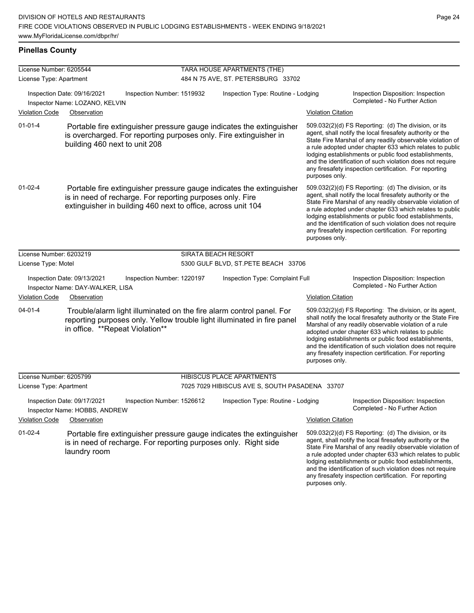# **Pinellas County**

| License Number: 6205544 |                                                                                                                                                                                                   |                            | TARA HOUSE APARTMENTS (THE)                    |                           |                                                                                                                                                                                                                                                                                                                                                                                                                            |
|-------------------------|---------------------------------------------------------------------------------------------------------------------------------------------------------------------------------------------------|----------------------------|------------------------------------------------|---------------------------|----------------------------------------------------------------------------------------------------------------------------------------------------------------------------------------------------------------------------------------------------------------------------------------------------------------------------------------------------------------------------------------------------------------------------|
| License Type: Apartment |                                                                                                                                                                                                   |                            | 484 N 75 AVE, ST. PETERSBURG 33702             |                           |                                                                                                                                                                                                                                                                                                                                                                                                                            |
|                         | Inspection Date: 09/16/2021<br>Inspector Name: LOZANO, KELVIN                                                                                                                                     | Inspection Number: 1519932 | Inspection Type: Routine - Lodging             |                           | Inspection Disposition: Inspection<br>Completed - No Further Action                                                                                                                                                                                                                                                                                                                                                        |
| <b>Violation Code</b>   | Observation                                                                                                                                                                                       |                            |                                                | <b>Violation Citation</b> |                                                                                                                                                                                                                                                                                                                                                                                                                            |
| $01 - 01 - 4$           | Portable fire extinguisher pressure gauge indicates the extinguisher<br>is overcharged. For reporting purposes only. Fire extinguisher in<br>building 460 next to unit 208                        |                            |                                                | purposes only.            | 509.032(2)(d) FS Reporting: (d) The division, or its<br>agent, shall notify the local firesafety authority or the<br>State Fire Marshal of any readily observable violation of<br>a rule adopted under chapter 633 which relates to public<br>lodging establishments or public food establishments,<br>and the identification of such violation does not require<br>any firesafety inspection certification. For reporting |
| 01-02-4                 | Portable fire extinguisher pressure gauge indicates the extinguisher<br>is in need of recharge. For reporting purposes only. Fire<br>extinguisher in building 460 next to office, across unit 104 |                            |                                                | purposes only.            | 509.032(2)(d) FS Reporting: (d) The division, or its<br>agent, shall notify the local firesafety authority or the<br>State Fire Marshal of any readily observable violation of<br>a rule adopted under chapter 633 which relates to public<br>lodging establishments or public food establishments,<br>and the identification of such violation does not require<br>any firesafety inspection certification. For reporting |
| License Number: 6203219 |                                                                                                                                                                                                   |                            | <b>SIRATA BEACH RESORT</b>                     |                           |                                                                                                                                                                                                                                                                                                                                                                                                                            |
| License Type: Motel     |                                                                                                                                                                                                   |                            | 5300 GULF BLVD, ST.PETE BEACH 33706            |                           |                                                                                                                                                                                                                                                                                                                                                                                                                            |
|                         | Inspection Date: 09/13/2021<br>Inspector Name: DAY-WALKER, LISA                                                                                                                                   | Inspection Number: 1220197 | Inspection Type: Complaint Full                |                           | Inspection Disposition: Inspection<br>Completed - No Further Action                                                                                                                                                                                                                                                                                                                                                        |
| <b>Violation Code</b>   | Observation                                                                                                                                                                                       |                            |                                                | <b>Violation Citation</b> |                                                                                                                                                                                                                                                                                                                                                                                                                            |
| $04 - 01 - 4$           | Trouble/alarm light illuminated on the fire alarm control panel. For<br>reporting purposes only. Yellow trouble light illuminated in fire panel<br>in office. **Repeat Violation**                |                            |                                                | purposes only.            | 509.032(2)(d) FS Reporting: The division, or its agent,<br>shall notify the local firesafety authority or the State Fire<br>Marshal of any readily observable violation of a rule<br>adopted under chapter 633 which relates to public<br>lodging establishments or public food establishments,<br>and the identification of such violation does not require<br>any firesafety inspection certification. For reporting     |
| License Number: 6205799 |                                                                                                                                                                                                   |                            | <b>HIBISCUS PLACE APARTMENTS</b>               |                           |                                                                                                                                                                                                                                                                                                                                                                                                                            |
| License Type: Apartment |                                                                                                                                                                                                   |                            | 7025 7029 HIBISCUS AVE S, SOUTH PASADENA 33707 |                           |                                                                                                                                                                                                                                                                                                                                                                                                                            |
|                         | Inspection Date: 09/17/2021<br>Inspector Name: HOBBS, ANDREW                                                                                                                                      | Inspection Number: 1526612 | Inspection Type: Routine - Lodging             |                           | Inspection Disposition: Inspection<br>Completed - No Further Action                                                                                                                                                                                                                                                                                                                                                        |
| <b>Violation Code</b>   | Observation                                                                                                                                                                                       |                            |                                                | <b>Violation Citation</b> |                                                                                                                                                                                                                                                                                                                                                                                                                            |
| $01 - 02 - 4$           | Portable fire extinguisher pressure gauge indicates the extinguisher<br>is in need of recharge. For reporting purposes only. Right side<br>laundry room                                           |                            |                                                |                           | 509.032(2)(d) FS Reporting: (d) The division, or its<br>agent, shall notify the local firesafety authority or the<br>State Fire Marshal of any readily observable violation of<br>a rule adopted under chapter 633 which relates to public<br>lodging establishments or public food establishments,<br>and the identification of such violation does not require<br>any firesafety inspection certification. For reporting |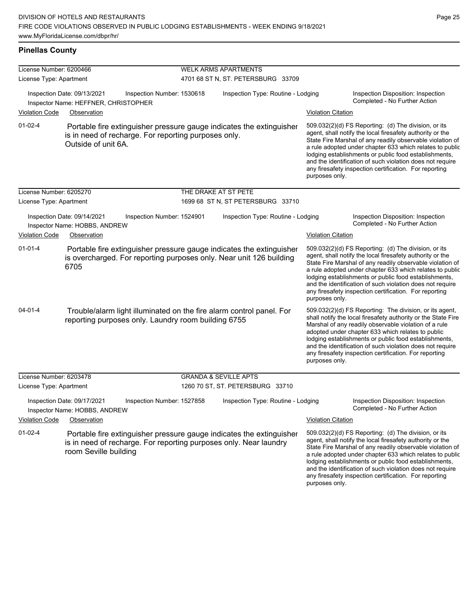any firesafety inspection certification. For reporting

purposes only.

#### **Pinellas County**

| License Number: 6200466 |                                                                                                                                                                    | <b>WELK ARMS APARTMENTS</b>        |                           |                                                                                                                                                                                                                                                                                                                                                                                                                            |  |  |
|-------------------------|--------------------------------------------------------------------------------------------------------------------------------------------------------------------|------------------------------------|---------------------------|----------------------------------------------------------------------------------------------------------------------------------------------------------------------------------------------------------------------------------------------------------------------------------------------------------------------------------------------------------------------------------------------------------------------------|--|--|
| License Type: Apartment |                                                                                                                                                                    | 4701 68 ST N, ST. PETERSBURG 33709 |                           |                                                                                                                                                                                                                                                                                                                                                                                                                            |  |  |
|                         | Inspection Date: 09/13/2021<br>Inspection Number: 1530618<br>Inspector Name: HEFFNER, CHRISTOPHER                                                                  | Inspection Type: Routine - Lodging |                           | Inspection Disposition: Inspection<br>Completed - No Further Action                                                                                                                                                                                                                                                                                                                                                        |  |  |
| <b>Violation Code</b>   | Observation                                                                                                                                                        |                                    | <b>Violation Citation</b> |                                                                                                                                                                                                                                                                                                                                                                                                                            |  |  |
| $01 - 02 - 4$           | Portable fire extinguisher pressure gauge indicates the extinguisher<br>is in need of recharge. For reporting purposes only.<br>Outside of unit 6A.                |                                    | purposes only.            | 509.032(2)(d) FS Reporting: (d) The division, or its<br>agent, shall notify the local firesafety authority or the<br>State Fire Marshal of any readily observable violation of<br>a rule adopted under chapter 633 which relates to public<br>lodging establishments or public food establishments,<br>and the identification of such violation does not require<br>any firesafety inspection certification. For reporting |  |  |
| License Number: 6205270 |                                                                                                                                                                    | THE DRAKE AT ST PETE               |                           |                                                                                                                                                                                                                                                                                                                                                                                                                            |  |  |
| License Type: Apartment |                                                                                                                                                                    | 1699 68 ST N, ST PETERSBURG 33710  |                           |                                                                                                                                                                                                                                                                                                                                                                                                                            |  |  |
|                         | Inspection Date: 09/14/2021<br>Inspection Number: 1524901<br>Inspector Name: HOBBS, ANDREW                                                                         | Inspection Type: Routine - Lodging |                           | Inspection Disposition: Inspection<br>Completed - No Further Action                                                                                                                                                                                                                                                                                                                                                        |  |  |
| <b>Violation Code</b>   | Observation                                                                                                                                                        |                                    | <b>Violation Citation</b> |                                                                                                                                                                                                                                                                                                                                                                                                                            |  |  |
| $01 - 01 - 4$           | Portable fire extinguisher pressure gauge indicates the extinguisher<br>is overcharged. For reporting purposes only. Near unit 126 building<br>6705                |                                    | purposes only.            | 509.032(2)(d) FS Reporting: (d) The division, or its<br>agent, shall notify the local firesafety authority or the<br>State Fire Marshal of any readily observable violation of<br>a rule adopted under chapter 633 which relates to public<br>lodging establishments or public food establishments,<br>and the identification of such violation does not require<br>any firesafety inspection certification. For reporting |  |  |
| $04 - 01 - 4$           | Trouble/alarm light illuminated on the fire alarm control panel. For<br>reporting purposes only. Laundry room building 6755                                        |                                    | purposes only.            | 509.032(2)(d) FS Reporting: The division, or its agent,<br>shall notify the local firesafety authority or the State Fire<br>Marshal of any readily observable violation of a rule<br>adopted under chapter 633 which relates to public<br>lodging establishments or public food establishments,<br>and the identification of such violation does not require<br>any firesafety inspection certification. For reporting     |  |  |
| License Number: 6203478 |                                                                                                                                                                    | <b>GRANDA &amp; SEVILLE APTS</b>   |                           |                                                                                                                                                                                                                                                                                                                                                                                                                            |  |  |
| License Type: Apartment |                                                                                                                                                                    | 1260 70 ST, ST. PETERSBURG 33710   |                           |                                                                                                                                                                                                                                                                                                                                                                                                                            |  |  |
|                         | Inspection Date: 09/17/2021<br>Inspection Number: 1527858<br>Inspector Name: HOBBS, ANDREW                                                                         | Inspection Type: Routine - Lodging |                           | Inspection Disposition: Inspection<br>Completed - No Further Action                                                                                                                                                                                                                                                                                                                                                        |  |  |
| <b>Violation Code</b>   | Observation                                                                                                                                                        |                                    | <b>Violation Citation</b> |                                                                                                                                                                                                                                                                                                                                                                                                                            |  |  |
| 01-02-4                 | Portable fire extinguisher pressure gauge indicates the extinguisher<br>is in need of recharge. For reporting purposes only. Near laundry<br>room Seville building |                                    |                           | 509.032(2)(d) FS Reporting: (d) The division, or its<br>agent, shall notify the local firesafety authority or the<br>State Fire Marshal of any readily observable violation of<br>a rule adopted under chapter 633 which relates to public<br>lodging establishments or public food establishments,<br>and the identification of such violation does not require                                                           |  |  |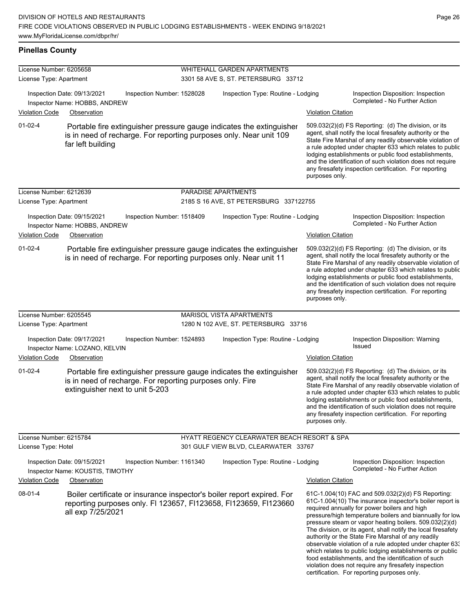## **Pinellas County**

| License Number: 6205658                                                                                                            |                                                                                                                                                                      |                            | <b>WHITEHALL GARDEN APARTMENTS</b>                     |                           |                                                                                                                                                                                                                                                                                                                                                                                                                                                                                                                                                                                                                                                                                                  |  |  |
|------------------------------------------------------------------------------------------------------------------------------------|----------------------------------------------------------------------------------------------------------------------------------------------------------------------|----------------------------|--------------------------------------------------------|---------------------------|--------------------------------------------------------------------------------------------------------------------------------------------------------------------------------------------------------------------------------------------------------------------------------------------------------------------------------------------------------------------------------------------------------------------------------------------------------------------------------------------------------------------------------------------------------------------------------------------------------------------------------------------------------------------------------------------------|--|--|
| License Type: Apartment                                                                                                            |                                                                                                                                                                      |                            | 3301 58 AVE S, ST. PETERSBURG 33712                    |                           |                                                                                                                                                                                                                                                                                                                                                                                                                                                                                                                                                                                                                                                                                                  |  |  |
| Inspection Date: 09/13/2021<br>Inspection Number: 1528028<br>Inspector Name: HOBBS, ANDREW                                         |                                                                                                                                                                      |                            | Inspection Type: Routine - Lodging                     |                           | Inspection Disposition: Inspection<br>Completed - No Further Action                                                                                                                                                                                                                                                                                                                                                                                                                                                                                                                                                                                                                              |  |  |
| <b>Violation Code</b>                                                                                                              | Observation                                                                                                                                                          |                            |                                                        |                           | <b>Violation Citation</b>                                                                                                                                                                                                                                                                                                                                                                                                                                                                                                                                                                                                                                                                        |  |  |
| $01-02-4$                                                                                                                          | Portable fire extinguisher pressure gauge indicates the extinguisher<br>is in need of recharge. For reporting purposes only. Near unit 109<br>far left building      |                            |                                                        | purposes only.            | 509.032(2)(d) FS Reporting: (d) The division, or its<br>agent, shall notify the local firesafety authority or the<br>State Fire Marshal of any readily observable violation of<br>a rule adopted under chapter 633 which relates to public<br>lodging establishments or public food establishments,<br>and the identification of such violation does not require<br>any firesafety inspection certification. For reporting                                                                                                                                                                                                                                                                       |  |  |
| License Number: 6212639                                                                                                            |                                                                                                                                                                      |                            | PARADISE APARTMENTS                                    |                           |                                                                                                                                                                                                                                                                                                                                                                                                                                                                                                                                                                                                                                                                                                  |  |  |
| License Type: Apartment                                                                                                            |                                                                                                                                                                      |                            | 2185 S 16 AVE, ST PETERSBURG 337122755                 |                           |                                                                                                                                                                                                                                                                                                                                                                                                                                                                                                                                                                                                                                                                                                  |  |  |
| Inspection Date: 09/15/2021<br>Inspection Number: 1518409<br>Inspector Name: HOBBS, ANDREW<br><b>Violation Code</b><br>Observation |                                                                                                                                                                      |                            | Inspection Type: Routine - Lodging                     | <b>Violation Citation</b> | Inspection Disposition: Inspection<br>Completed - No Further Action                                                                                                                                                                                                                                                                                                                                                                                                                                                                                                                                                                                                                              |  |  |
| $01-02-4$                                                                                                                          | Portable fire extinguisher pressure gauge indicates the extinguisher<br>is in need of recharge. For reporting purposes only. Near unit 11                            |                            |                                                        | purposes only.            | 509.032(2)(d) FS Reporting: (d) The division, or its<br>agent, shall notify the local firesafety authority or the<br>State Fire Marshal of any readily observable violation of<br>a rule adopted under chapter 633 which relates to public<br>lodging establishments or public food establishments,<br>and the identification of such violation does not require<br>any firesafety inspection certification. For reporting                                                                                                                                                                                                                                                                       |  |  |
| License Number: 6205545                                                                                                            |                                                                                                                                                                      |                            | MARISOL VISTA APARTMENTS                               |                           |                                                                                                                                                                                                                                                                                                                                                                                                                                                                                                                                                                                                                                                                                                  |  |  |
| License Type: Apartment                                                                                                            |                                                                                                                                                                      |                            | 1280 N 102 AVE, ST. PETERSBURG 33716                   |                           |                                                                                                                                                                                                                                                                                                                                                                                                                                                                                                                                                                                                                                                                                                  |  |  |
|                                                                                                                                    | Inspection Date: 09/17/2021<br>Inspector Name: LOZANO, KELVIN                                                                                                        | Inspection Number: 1524893 | Inspection Type: Routine - Lodging                     |                           | Inspection Disposition: Warning<br>Issued                                                                                                                                                                                                                                                                                                                                                                                                                                                                                                                                                                                                                                                        |  |  |
| <b>Violation Code</b>                                                                                                              | Observation                                                                                                                                                          |                            |                                                        | <b>Violation Citation</b> |                                                                                                                                                                                                                                                                                                                                                                                                                                                                                                                                                                                                                                                                                                  |  |  |
| $01-02-4$                                                                                                                          | Portable fire extinguisher pressure gauge indicates the extinguisher<br>is in need of recharge. For reporting purposes only. Fire<br>extinguisher next to unit 5-203 |                            |                                                        | purposes only.            | 509.032(2)(d) FS Reporting: (d) The division, or its<br>agent, shall notify the local firesafety authority or the<br>State Fire Marshal of any readily observable violation of<br>a rule adopted under chapter 633 which relates to public<br>lodging establishments or public food establishments,<br>and the identification of such violation does not require<br>any firesafety inspection certification. For reporting                                                                                                                                                                                                                                                                       |  |  |
| License Number: 6215784                                                                                                            |                                                                                                                                                                      |                            | <b>HYATT REGENCY CLEARWATER BEACH RESORT &amp; SPA</b> |                           |                                                                                                                                                                                                                                                                                                                                                                                                                                                                                                                                                                                                                                                                                                  |  |  |
| License Type: Hotel                                                                                                                |                                                                                                                                                                      |                            | 301 GULF VIEW BLVD, CLEARWATER 33767                   |                           |                                                                                                                                                                                                                                                                                                                                                                                                                                                                                                                                                                                                                                                                                                  |  |  |
|                                                                                                                                    | Inspection Date: 09/15/2021<br>Inspector Name: KOUSTIS, TIMOTHY                                                                                                      | Inspection Number: 1161340 | Inspection Type: Routine - Lodging                     |                           | Inspection Disposition: Inspection<br>Completed - No Further Action                                                                                                                                                                                                                                                                                                                                                                                                                                                                                                                                                                                                                              |  |  |
| <b>Violation Code</b>                                                                                                              | Observation                                                                                                                                                          |                            |                                                        | <b>Violation Citation</b> |                                                                                                                                                                                                                                                                                                                                                                                                                                                                                                                                                                                                                                                                                                  |  |  |
| $08 - 01 - 4$                                                                                                                      | Boiler certificate or insurance inspector's boiler report expired. For<br>reporting purposes only. FI 123657, FI123658, FI123659, FI123660<br>all exp 7/25/2021      |                            |                                                        |                           | 61C-1.004(10) FAC and 509.032(2)(d) FS Reporting:<br>61C-1.004(10) The insurance inspector's boiler report is<br>required annually for power boilers and high<br>pressure/high temperature boilers and biannually for low<br>pressure steam or vapor heating boilers. 509.032(2)(d)<br>The division, or its agent, shall notify the local firesafety<br>authority or the State Fire Marshal of any readily<br>observable violation of a rule adopted under chapter 63.<br>which relates to public lodging establishments or public<br>food establishments, and the identification of such<br>violation does not require any firesafety inspection<br>certification. For reporting purposes only. |  |  |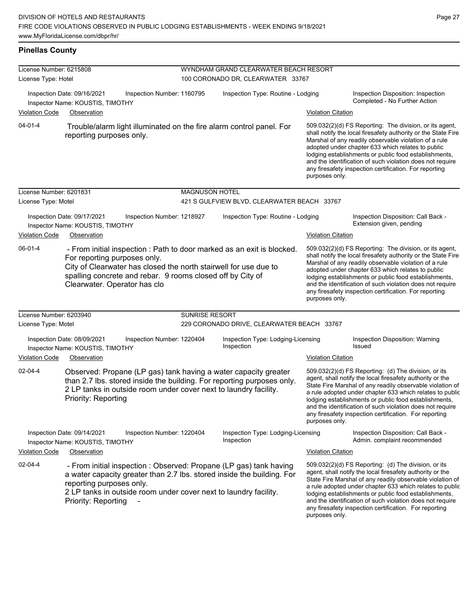## **Pinellas County**

| License Number: 6215808                                                                       |                                                                                                                                                                                                                                                                          | WYNDHAM GRAND CLEARWATER BEACH RESORT |                                                  |                                                                                                                                                                                                                                                                                                                                                                                                                                              |                                                                                                                                                                                                                                                                                                                                                                                                                            |  |
|-----------------------------------------------------------------------------------------------|--------------------------------------------------------------------------------------------------------------------------------------------------------------------------------------------------------------------------------------------------------------------------|---------------------------------------|--------------------------------------------------|----------------------------------------------------------------------------------------------------------------------------------------------------------------------------------------------------------------------------------------------------------------------------------------------------------------------------------------------------------------------------------------------------------------------------------------------|----------------------------------------------------------------------------------------------------------------------------------------------------------------------------------------------------------------------------------------------------------------------------------------------------------------------------------------------------------------------------------------------------------------------------|--|
| License Type: Hotel                                                                           |                                                                                                                                                                                                                                                                          |                                       | 100 CORONADO DR, CLEARWATER 33767                |                                                                                                                                                                                                                                                                                                                                                                                                                                              |                                                                                                                                                                                                                                                                                                                                                                                                                            |  |
| Inspection Date: 09/16/2021<br>Inspection Number: 1160795<br>Inspector Name: KOUSTIS, TIMOTHY |                                                                                                                                                                                                                                                                          |                                       | Inspection Type: Routine - Lodging               |                                                                                                                                                                                                                                                                                                                                                                                                                                              | Inspection Disposition: Inspection<br>Completed - No Further Action                                                                                                                                                                                                                                                                                                                                                        |  |
| <b>Violation Code</b>                                                                         | Observation                                                                                                                                                                                                                                                              |                                       |                                                  | <b>Violation Citation</b>                                                                                                                                                                                                                                                                                                                                                                                                                    |                                                                                                                                                                                                                                                                                                                                                                                                                            |  |
| $04 - 01 - 4$                                                                                 | Trouble/alarm light illuminated on the fire alarm control panel. For<br>reporting purposes only.                                                                                                                                                                         |                                       |                                                  | purposes only.                                                                                                                                                                                                                                                                                                                                                                                                                               | 509.032(2)(d) FS Reporting: The division, or its agent,<br>shall notify the local firesafety authority or the State Fire<br>Marshal of any readily observable violation of a rule<br>adopted under chapter 633 which relates to public<br>lodging establishments or public food establishments,<br>and the identification of such violation does not require<br>any firesafety inspection certification. For reporting     |  |
| License Number: 6201831                                                                       |                                                                                                                                                                                                                                                                          | <b>MAGNUSON HOTEL</b>                 |                                                  |                                                                                                                                                                                                                                                                                                                                                                                                                                              |                                                                                                                                                                                                                                                                                                                                                                                                                            |  |
| License Type: Motel                                                                           |                                                                                                                                                                                                                                                                          |                                       | 421 S GULFVIEW BLVD, CLEARWATER BEACH 33767      |                                                                                                                                                                                                                                                                                                                                                                                                                                              |                                                                                                                                                                                                                                                                                                                                                                                                                            |  |
|                                                                                               | Inspection Date: 09/17/2021<br>Inspection Number: 1218927<br>Inspector Name: KOUSTIS, TIMOTHY                                                                                                                                                                            | Inspection Type: Routine - Lodging    |                                                  |                                                                                                                                                                                                                                                                                                                                                                                                                                              | Inspection Disposition: Call Back -<br>Extension given, pending                                                                                                                                                                                                                                                                                                                                                            |  |
| <b>Violation Code</b><br>Observation                                                          |                                                                                                                                                                                                                                                                          |                                       |                                                  | <b>Violation Citation</b>                                                                                                                                                                                                                                                                                                                                                                                                                    |                                                                                                                                                                                                                                                                                                                                                                                                                            |  |
| 06-01-4                                                                                       | - From initial inspection : Path to door marked as an exit is blocked.<br>For reporting purposes only.<br>City of Clearwater has closed the north stairwell for use due to<br>spalling concrete and rebar. 9 rooms closed off by City of<br>Clearwater. Operator has clo |                                       |                                                  | 509.032(2)(d) FS Reporting: The division, or its agent,<br>shall notify the local firesafety authority or the State Fire<br>Marshal of any readily observable violation of a rule<br>adopted under chapter 633 which relates to public<br>lodging establishments or public food establishments,<br>and the identification of such violation does not require<br>any firesafety inspection certification. For reporting<br>purposes only.     |                                                                                                                                                                                                                                                                                                                                                                                                                            |  |
| License Number: 6203940                                                                       |                                                                                                                                                                                                                                                                          | <b>SUNRISE RESORT</b>                 |                                                  |                                                                                                                                                                                                                                                                                                                                                                                                                                              |                                                                                                                                                                                                                                                                                                                                                                                                                            |  |
| License Type: Motel                                                                           |                                                                                                                                                                                                                                                                          |                                       | 229 CORONADO DRIVE, CLEARWATER BEACH 33767       |                                                                                                                                                                                                                                                                                                                                                                                                                                              |                                                                                                                                                                                                                                                                                                                                                                                                                            |  |
|                                                                                               | Inspection Date: 08/09/2021<br>Inspection Number: 1220404<br>Inspector Name: KOUSTIS, TIMOTHY                                                                                                                                                                            |                                       | Inspection Type: Lodging-Licensing<br>Inspection |                                                                                                                                                                                                                                                                                                                                                                                                                                              | Inspection Disposition: Warning<br>Issued                                                                                                                                                                                                                                                                                                                                                                                  |  |
| <b>Violation Code</b>                                                                         | Observation                                                                                                                                                                                                                                                              |                                       | <b>Violation Citation</b>                        |                                                                                                                                                                                                                                                                                                                                                                                                                                              |                                                                                                                                                                                                                                                                                                                                                                                                                            |  |
| $02 - 04 - 4$                                                                                 | Observed: Propane (LP gas) tank having a water capacity greater<br>than 2.7 lbs. stored inside the building. For reporting purposes only.<br>2 LP tanks in outside room under cover next to laundry facility.<br>Priority: Reporting                                     |                                       |                                                  | 509.032(2)(d) FS Reporting: (d) The division, or its<br>agent, shall notify the local firesafety authority or the<br>State Fire Marshal of any readily observable violation of<br>a rule adopted under chapter 633 which relates to public<br>lodging establishments or public food establishments,<br>and the identification of such violation does not require<br>any firesafety inspection certification. For reporting<br>purposes only. |                                                                                                                                                                                                                                                                                                                                                                                                                            |  |
| Inspection Number: 1220404<br>Inspection Date: 09/14/2021<br>Inspector Name: KOUSTIS, TIMOTHY |                                                                                                                                                                                                                                                                          |                                       | Inspection Type: Lodging-Licensing<br>Inspection |                                                                                                                                                                                                                                                                                                                                                                                                                                              | Inspection Disposition: Call Back -<br>Admin. complaint recommended                                                                                                                                                                                                                                                                                                                                                        |  |
| <b>Violation Code</b>                                                                         | Observation                                                                                                                                                                                                                                                              |                                       |                                                  | <b>Violation Citation</b>                                                                                                                                                                                                                                                                                                                                                                                                                    |                                                                                                                                                                                                                                                                                                                                                                                                                            |  |
| 02-04-4                                                                                       | - From initial inspection : Observed: Propane (LP gas) tank having<br>a water capacity greater than 2.7 lbs. stored inside the building. For<br>reporting purposes only.<br>2 LP tanks in outside room under cover next to laundry facility.<br>Priority: Reporting      |                                       |                                                  | purposes only.                                                                                                                                                                                                                                                                                                                                                                                                                               | 509.032(2)(d) FS Reporting: (d) The division, or its<br>agent, shall notify the local firesafety authority or the<br>State Fire Marshal of any readily observable violation of<br>a rule adopted under chapter 633 which relates to public<br>lodging establishments or public food establishments,<br>and the identification of such violation does not require<br>any firesafety inspection certification. For reporting |  |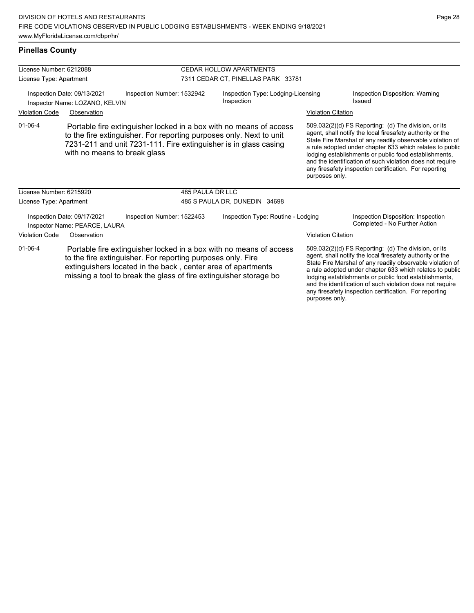any firesafety inspection certification. For reporting

| <b>Pinellas County</b> |  |
|------------------------|--|
|------------------------|--|

| License Number: 6212088                                                                                                                                                                                                                                                                 |                                                                                                                                                                                                                                               | <b>CEDAR HOLLOW APARTMENTS</b>     |                                                  |                           |                                                                                                                                                                                                                                                                                                                                                                                                                            |
|-----------------------------------------------------------------------------------------------------------------------------------------------------------------------------------------------------------------------------------------------------------------------------------------|-----------------------------------------------------------------------------------------------------------------------------------------------------------------------------------------------------------------------------------------------|------------------------------------|--------------------------------------------------|---------------------------|----------------------------------------------------------------------------------------------------------------------------------------------------------------------------------------------------------------------------------------------------------------------------------------------------------------------------------------------------------------------------------------------------------------------------|
| License Type: Apartment                                                                                                                                                                                                                                                                 |                                                                                                                                                                                                                                               | 7311 CEDAR CT, PINELLAS PARK 33781 |                                                  |                           |                                                                                                                                                                                                                                                                                                                                                                                                                            |
| Inspection Date: 09/13/2021<br>Inspection Number: 1532942<br>Inspector Name: LOZANO, KELVIN                                                                                                                                                                                             |                                                                                                                                                                                                                                               |                                    | Inspection Type: Lodging-Licensing<br>Inspection |                           | Inspection Disposition: Warning<br>Issued                                                                                                                                                                                                                                                                                                                                                                                  |
| <b>Violation Code</b><br>Observation                                                                                                                                                                                                                                                    |                                                                                                                                                                                                                                               |                                    |                                                  | <b>Violation Citation</b> |                                                                                                                                                                                                                                                                                                                                                                                                                            |
| $01 - 06 - 4$                                                                                                                                                                                                                                                                           | Portable fire extinguisher locked in a box with no means of access<br>to the fire extinguisher. For reporting purposes only. Next to unit<br>7231-211 and unit 7231-111. Fire extinguisher is in glass casing<br>with no means to break glass |                                    |                                                  | purposes only.            | 509.032(2)(d) FS Reporting: (d) The division, or its<br>agent, shall notify the local firesafety authority or the<br>State Fire Marshal of any readily observable violation of<br>a rule adopted under chapter 633 which relates to public<br>lodging establishments or public food establishments,<br>and the identification of such violation does not require<br>any firesafety inspection certification. For reporting |
| License Number: 6215920                                                                                                                                                                                                                                                                 |                                                                                                                                                                                                                                               |                                    | 485 PAULA DR LLC                                 |                           |                                                                                                                                                                                                                                                                                                                                                                                                                            |
| License Type: Apartment                                                                                                                                                                                                                                                                 |                                                                                                                                                                                                                                               | 485 S PAULA DR, DUNEDIN 34698      |                                                  |                           |                                                                                                                                                                                                                                                                                                                                                                                                                            |
| Inspection Date: 09/17/2021<br>Inspection Number: 1522453<br>Inspector Name: PEARCE, LAURA                                                                                                                                                                                              |                                                                                                                                                                                                                                               |                                    | Inspection Type: Routine - Lodging               |                           | Inspection Disposition: Inspection<br>Completed - No Further Action                                                                                                                                                                                                                                                                                                                                                        |
| <b>Violation Code</b>                                                                                                                                                                                                                                                                   | Observation                                                                                                                                                                                                                                   |                                    |                                                  | <b>Violation Citation</b> |                                                                                                                                                                                                                                                                                                                                                                                                                            |
| $01 - 06 - 4$<br>Portable fire extinguisher locked in a box with no means of access<br>to the fire extinguisher. For reporting purposes only. Fire<br>extinguishers located in the back, center area of apartments<br>missing a tool to break the glass of fire extinguisher storage bo |                                                                                                                                                                                                                                               |                                    |                                                  |                           | 509.032(2)(d) FS Reporting: (d) The division, or its<br>agent, shall notify the local firesafety authority or the<br>State Fire Marshal of any readily observable violation of<br>a rule adopted under chapter 633 which relates to public<br>lodging establishments or public food establishments,<br>and the identification of such violation does not require                                                           |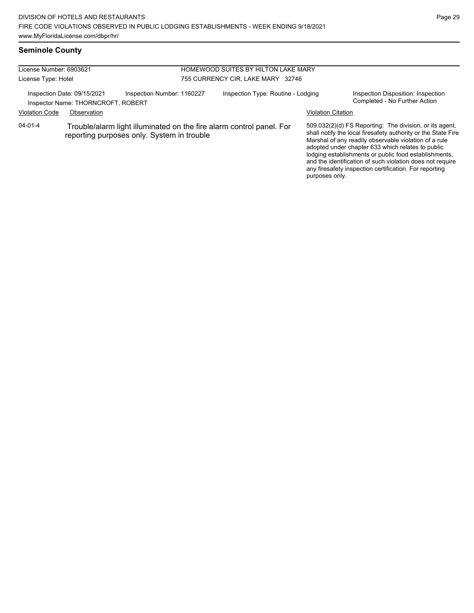#### **Seminole County**

| License Number: 6903621 |                                                                                                                    |                            | <b>HOMEWOOD SUITES BY HILTON LAKE MARY</b> |                           |                                                                                                                                                                                                                                                                                                                                                                                                                        |  |
|-------------------------|--------------------------------------------------------------------------------------------------------------------|----------------------------|--------------------------------------------|---------------------------|------------------------------------------------------------------------------------------------------------------------------------------------------------------------------------------------------------------------------------------------------------------------------------------------------------------------------------------------------------------------------------------------------------------------|--|
| License Type: Hotel     |                                                                                                                    |                            | 755 CURRENCY CIR, LAKE MARY 32746          |                           |                                                                                                                                                                                                                                                                                                                                                                                                                        |  |
|                         | Inspection Date: 09/15/2021<br>Inspector Name: THORNCROFT, ROBERT                                                  | Inspection Number: 1160227 | Inspection Type: Routine - Lodging         |                           | Inspection Disposition: Inspection<br>Completed - No Further Action                                                                                                                                                                                                                                                                                                                                                    |  |
| <b>Violation Code</b>   | Observation                                                                                                        |                            |                                            | <b>Violation Citation</b> |                                                                                                                                                                                                                                                                                                                                                                                                                        |  |
| 04-01-4                 | Trouble/alarm light illuminated on the fire alarm control panel. For<br>reporting purposes only. System in trouble |                            |                                            |                           | 509.032(2)(d) FS Reporting: The division, or its agent,<br>shall notify the local firesafety authority or the State Fire<br>Marshal of any readily observable violation of a rule<br>adopted under chapter 633 which relates to public<br>lodging establishments or public food establishments,<br>and the identification of such violation does not require<br>any firesafety inspection certification. For reporting |  |